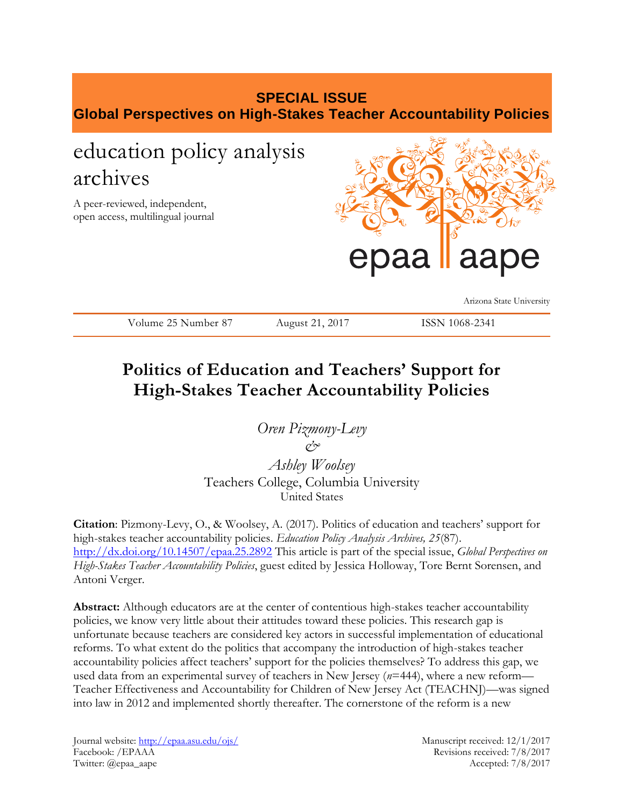# **SPECIAL ISSUE Global Perspectives on High-Stakes Teacher Accountability Policies**

# education policy analysis archives

A peer-reviewed, independent, open access, multilingual journal



Arizona State University

Volume 25 Number 87 August 21, 2017 ISSN 1068-2341

# **Politics of Education and Teachers' Support for High-Stakes Teacher Accountability Policies**

*Oren Pizmony-Levy & Ashley Woolsey* Teachers College, Columbia University United States

**Citation**: Pizmony-Levy, O., & Woolsey, A. (2017). Politics of education and teachers' support for high-stakes teacher accountability policies. *Education Policy Analysis Archives, 25*(87). <http://dx.doi.org/10.14507/epaa.25.2892> This article is part of the special issue, *Global Perspectives on High-Stakes Teacher Accountability Policies*, guest edited by Jessica Holloway, Tore Bernt Sorensen, and Antoni Verger.

**Abstract:** Although educators are at the center of contentious high-stakes teacher accountability policies, we know very little about their attitudes toward these policies. This research gap is unfortunate because teachers are considered key actors in successful implementation of educational reforms. To what extent do the politics that accompany the introduction of high-stakes teacher accountability policies affect teachers' support for the policies themselves? To address this gap, we used data from an experimental survey of teachers in New Jersey (*n*=444), where a new reform— Teacher Effectiveness and Accountability for Children of New Jersey Act (TEACHNJ)—was signed into law in 2012 and implemented shortly thereafter. The cornerstone of the reform is a new

Journal website:<http://epaa.asu.edu/ojs/> Manuscript received: 12/1/2017 Facebook: /EPAAA Revisions received: 7/8/2017 Twitter: @epaa\_aape Accepted: 7/8/2017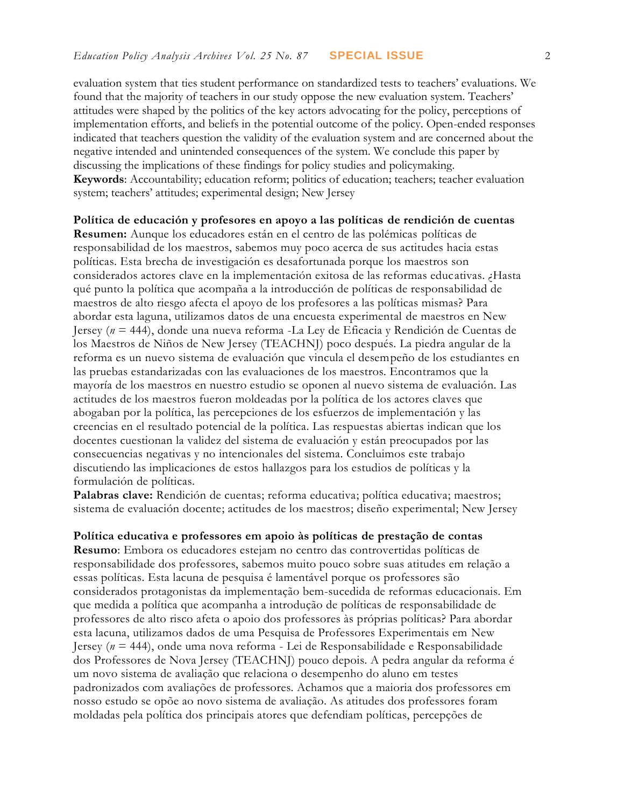evaluation system that ties student performance on standardized tests to teachers' evaluations. We found that the majority of teachers in our study oppose the new evaluation system. Teachers' attitudes were shaped by the politics of the key actors advocating for the policy, perceptions of implementation efforts, and beliefs in the potential outcome of the policy. Open-ended responses indicated that teachers question the validity of the evaluation system and are concerned about the negative intended and unintended consequences of the system. We conclude this paper by discussing the implications of these findings for policy studies and policymaking. **Keywords**: Accountability; education reform; politics of education; teachers; teacher evaluation system; teachers' attitudes; experimental design; New Jersey

**Política de educación y profesores en apoyo a las políticas de rendición de cuentas Resumen:** Aunque los educadores están en el centro de las polémicas políticas de responsabilidad de los maestros, sabemos muy poco acerca de sus actitudes hacia estas políticas. Esta brecha de investigación es desafortunada porque los maestros son considerados actores clave en la implementación exitosa de las reformas educativas. ¿Hasta qué punto la política que acompaña a la introducción de políticas de responsabilidad de maestros de alto riesgo afecta el apoyo de los profesores a las políticas mismas? Para abordar esta laguna, utilizamos datos de una encuesta experimental de maestros en New Jersey (*n* = 444), donde una nueva reforma -La Ley de Eficacia y Rendición de Cuentas de los Maestros de Niños de New Jersey (TEACHNJ) poco después. La piedra angular de la reforma es un nuevo sistema de evaluación que vincula el desempeño de los estudiantes en las pruebas estandarizadas con las evaluaciones de los maestros. Encontramos que la mayoría de los maestros en nuestro estudio se oponen al nuevo sistema de evaluación. Las actitudes de los maestros fueron moldeadas por la política de los actores claves que abogaban por la política, las percepciones de los esfuerzos de implementación y las creencias en el resultado potencial de la política. Las respuestas abiertas indican que los docentes cuestionan la validez del sistema de evaluación y están preocupados por las consecuencias negativas y no intencionales del sistema. Concluimos este trabajo discutiendo las implicaciones de estos hallazgos para los estudios de políticas y la formulación de políticas.

Palabras clave: Rendición de cuentas; reforma educativa; política educativa; maestros; sistema de evaluación docente; actitudes de los maestros; diseño experimental; New Jersey

**Política educativa e professores em apoio às políticas de prestação de contas**

**Resumo**: Embora os educadores estejam no centro das controvertidas políticas de responsabilidade dos professores, sabemos muito pouco sobre suas atitudes em relação a essas políticas. Esta lacuna de pesquisa é lamentável porque os professores são considerados protagonistas da implementação bem-sucedida de reformas educacionais. Em que medida a política que acompanha a introdução de políticas de responsabilidade de professores de alto risco afeta o apoio dos professores às próprias políticas? Para abordar esta lacuna, utilizamos dados de uma Pesquisa de Professores Experimentais em New Jersey (*n* = 444), onde uma nova reforma - Lei de Responsabilidade e Responsabilidade dos Professores de Nova Jersey (TEACHNJ) pouco depois. A pedra angular da reforma é um novo sistema de avaliação que relaciona o desempenho do aluno em testes padronizados com avaliações de professores. Achamos que a maioria dos professores em nosso estudo se opõe ao novo sistema de avaliação. As atitudes dos professores foram moldadas pela política dos principais atores que defendiam políticas, percepções de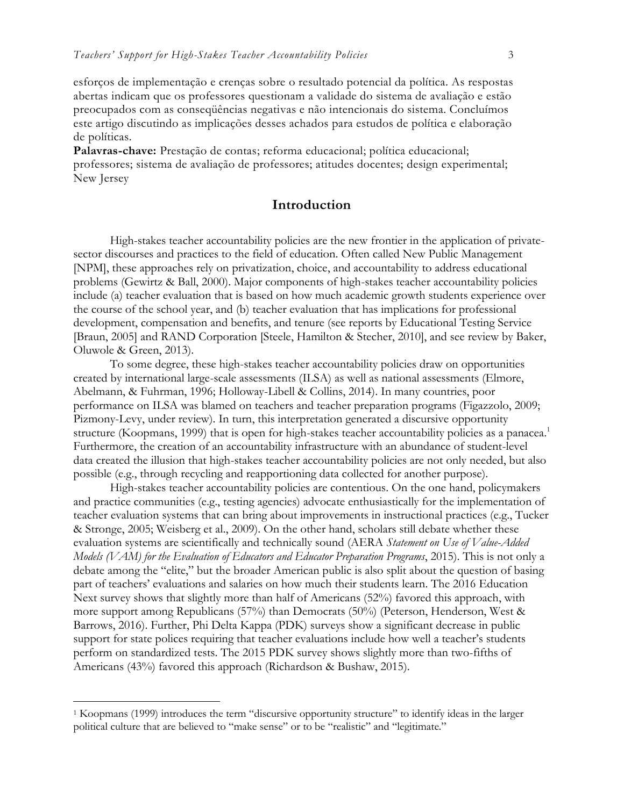esforços de implementação e crenças sobre o resultado potencial da política. As respostas abertas indicam que os professores questionam a validade do sistema de avaliação e estão preocupados com as conseqüências negativas e não intencionais do sistema. Concluímos este artigo discutindo as implicações desses achados para estudos de política e elaboração de políticas.

Palavras-chave: Prestação de contas; reforma educacional; política educacional; professores; sistema de avaliação de professores; atitudes docentes; design experimental; New Jersey

#### **Introduction**

High-stakes teacher accountability policies are the new frontier in the application of privatesector discourses and practices to the field of education. Often called New Public Management [NPM], these approaches rely on privatization, choice, and accountability to address educational problems (Gewirtz & Ball, 2000). Major components of high-stakes teacher accountability policies include (a) teacher evaluation that is based on how much academic growth students experience over the course of the school year, and (b) teacher evaluation that has implications for professional development, compensation and benefits, and tenure (see reports by Educational Testing Service [Braun, 2005] and RAND Corporation [Steele, Hamilton & Stecher, 2010], and see review by Baker, Oluwole & Green, 2013).

To some degree, these high-stakes teacher accountability policies draw on opportunities created by international large-scale assessments (ILSA) as well as national assessments (Elmore, Abelmann, & Fuhrman, 1996; Holloway-Libell & Collins, 2014). In many countries, poor performance on ILSA was blamed on teachers and teacher preparation programs (Figazzolo, 2009; Pizmony-Levy, under review). In turn, this interpretation generated a discursive opportunity structure (Koopmans, 1999) that is open for high-stakes teacher accountability policies as a panacea.<sup>1</sup> Furthermore, the creation of an accountability infrastructure with an abundance of student-level data created the illusion that high-stakes teacher accountability policies are not only needed, but also possible (e.g., through recycling and reapportioning data collected for another purpose).

High-stakes teacher accountability policies are contentious. On the one hand, policymakers and practice communities (e.g., testing agencies) advocate enthusiastically for the implementation of teacher evaluation systems that can bring about improvements in instructional practices (e.g., Tucker & Stronge, 2005; Weisberg et al., 2009). On the other hand, scholars still debate whether these evaluation systems are scientifically and technically sound (AERA *Statement on Use of Value-Added Models (VAM) for the Evaluation of Educators and Educator Preparation Programs*, 2015). This is not only a debate among the "elite," but the broader American public is also split about the question of basing part of teachers' evaluations and salaries on how much their students learn. The 2016 Education Next survey shows that slightly more than half of Americans (52%) favored this approach, with more support among Republicans (57%) than Democrats (50%) (Peterson, Henderson, West & Barrows, 2016). Further, Phi Delta Kappa (PDK) surveys show a significant decrease in public support for state polices requiring that teacher evaluations include how well a teacher's students perform on standardized tests. The 2015 PDK survey shows slightly more than two-fifths of Americans (43%) favored this approach (Richardson & Bushaw, 2015).

<sup>1</sup> Koopmans (1999) introduces the term "discursive opportunity structure" to identify ideas in the larger political culture that are believed to "make sense" or to be "realistic" and "legitimate."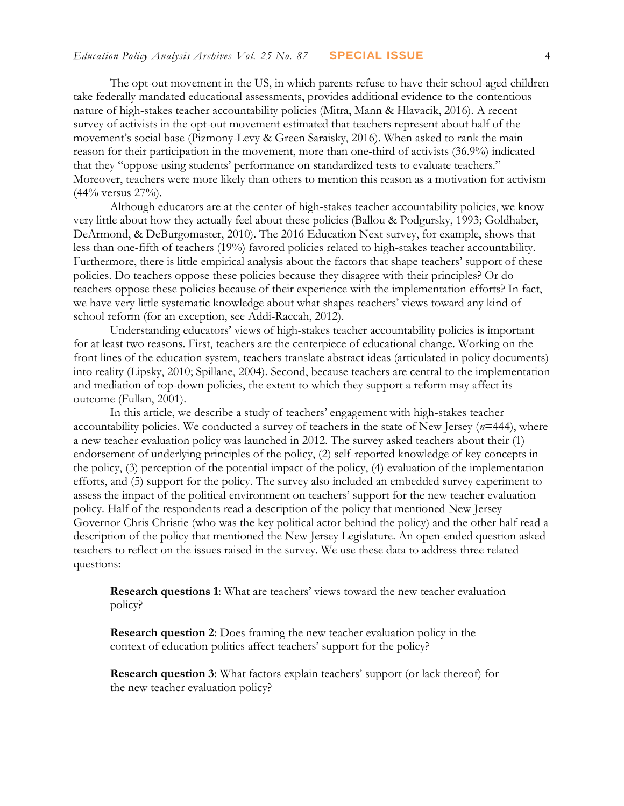The opt-out movement in the US, in which parents refuse to have their school-aged children take federally mandated educational assessments, provides additional evidence to the contentious nature of high-stakes teacher accountability policies (Mitra, Mann & Hlavacik, 2016). A recent survey of activists in the opt-out movement estimated that teachers represent about half of the movement's social base (Pizmony-Levy & Green Saraisky, 2016). When asked to rank the main reason for their participation in the movement, more than one-third of activists (36.9%) indicated that they "oppose using students' performance on standardized tests to evaluate teachers." Moreover, teachers were more likely than others to mention this reason as a motivation for activism (44% versus 27%).

Although educators are at the center of high-stakes teacher accountability policies, we know very little about how they actually feel about these policies (Ballou & Podgursky, 1993; Goldhaber, DeArmond, & DeBurgomaster, 2010). The 2016 Education Next survey, for example, shows that less than one-fifth of teachers (19%) favored policies related to high-stakes teacher accountability. Furthermore, there is little empirical analysis about the factors that shape teachers' support of these policies. Do teachers oppose these policies because they disagree with their principles? Or do teachers oppose these policies because of their experience with the implementation efforts? In fact, we have very little systematic knowledge about what shapes teachers' views toward any kind of school reform (for an exception, see Addi-Raccah, 2012).

Understanding educators' views of high-stakes teacher accountability policies is important for at least two reasons. First, teachers are the centerpiece of educational change. Working on the front lines of the education system, teachers translate abstract ideas (articulated in policy documents) into reality (Lipsky, 2010; Spillane, 2004). Second, because teachers are central to the implementation and mediation of top-down policies, the extent to which they support a reform may affect its outcome (Fullan, 2001).

In this article, we describe a study of teachers' engagement with high-stakes teacher accountability policies. We conducted a survey of teachers in the state of New Jersey (*n*=444), where a new teacher evaluation policy was launched in 2012. The survey asked teachers about their (1) endorsement of underlying principles of the policy, (2) self-reported knowledge of key concepts in the policy, (3) perception of the potential impact of the policy, (4) evaluation of the implementation efforts, and (5) support for the policy. The survey also included an embedded survey experiment to assess the impact of the political environment on teachers' support for the new teacher evaluation policy. Half of the respondents read a description of the policy that mentioned New Jersey Governor Chris Christie (who was the key political actor behind the policy) and the other half read a description of the policy that mentioned the New Jersey Legislature. An open-ended question asked teachers to reflect on the issues raised in the survey. We use these data to address three related questions:

**Research questions 1**: What are teachers' views toward the new teacher evaluation policy?

**Research question 2**: Does framing the new teacher evaluation policy in the context of education politics affect teachers' support for the policy?

**Research question 3**: What factors explain teachers' support (or lack thereof) for the new teacher evaluation policy?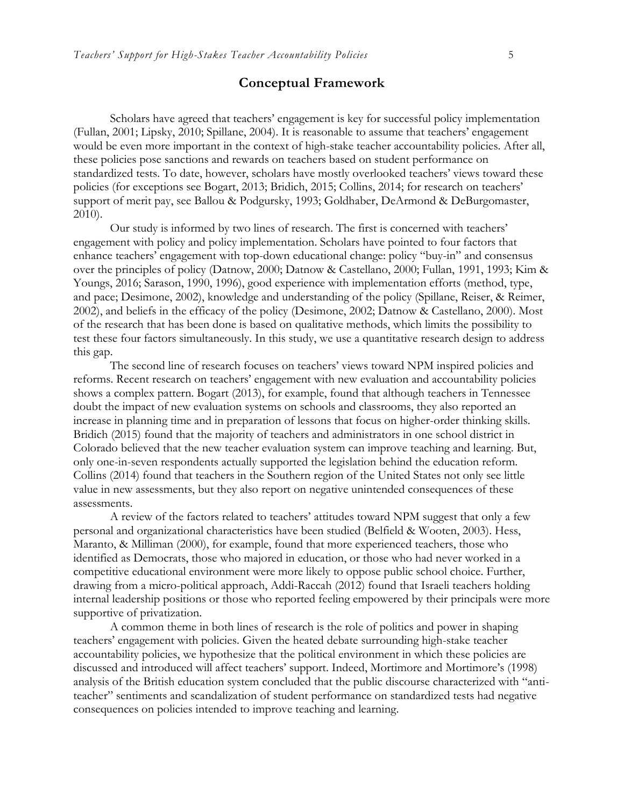#### **Conceptual Framework**

Scholars have agreed that teachers' engagement is key for successful policy implementation (Fullan, 2001; Lipsky, 2010; Spillane, 2004). It is reasonable to assume that teachers' engagement would be even more important in the context of high-stake teacher accountability policies. After all, these policies pose sanctions and rewards on teachers based on student performance on standardized tests. To date, however, scholars have mostly overlooked teachers' views toward these policies (for exceptions see Bogart, 2013; Bridich, 2015; Collins, 2014; for research on teachers' support of merit pay, see Ballou & Podgursky, 1993; Goldhaber, DeArmond & DeBurgomaster, 2010).

Our study is informed by two lines of research. The first is concerned with teachers' engagement with policy and policy implementation. Scholars have pointed to four factors that enhance teachers' engagement with top-down educational change: policy "buy-in" and consensus over the principles of policy (Datnow, 2000; Datnow & Castellano, 2000; Fullan, 1991, 1993; Kim & Youngs, 2016; Sarason, 1990, 1996), good experience with implementation efforts (method, type, and pace; Desimone, 2002), knowledge and understanding of the policy (Spillane, Reiser, & Reimer, 2002), and beliefs in the efficacy of the policy (Desimone, 2002; Datnow & Castellano, 2000). Most of the research that has been done is based on qualitative methods, which limits the possibility to test these four factors simultaneously. In this study, we use a quantitative research design to address this gap.

The second line of research focuses on teachers' views toward NPM inspired policies and reforms. Recent research on teachers' engagement with new evaluation and accountability policies shows a complex pattern. Bogart (2013), for example, found that although teachers in Tennessee doubt the impact of new evaluation systems on schools and classrooms, they also reported an increase in planning time and in preparation of lessons that focus on higher-order thinking skills. Bridich (2015) found that the majority of teachers and administrators in one school district in Colorado believed that the new teacher evaluation system can improve teaching and learning. But, only one-in-seven respondents actually supported the legislation behind the education reform. Collins (2014) found that teachers in the Southern region of the United States not only see little value in new assessments, but they also report on negative unintended consequences of these assessments.

A review of the factors related to teachers' attitudes toward NPM suggest that only a few personal and organizational characteristics have been studied (Belfield & Wooten, 2003). Hess, Maranto, & Milliman (2000), for example, found that more experienced teachers, those who identified as Democrats, those who majored in education, or those who had never worked in a competitive educational environment were more likely to oppose public school choice. Further, drawing from a micro-political approach, Addi-Raccah (2012) found that Israeli teachers holding internal leadership positions or those who reported feeling empowered by their principals were more supportive of privatization.

A common theme in both lines of research is the role of politics and power in shaping teachers' engagement with policies. Given the heated debate surrounding high-stake teacher accountability policies, we hypothesize that the political environment in which these policies are discussed and introduced will affect teachers' support. Indeed, Mortimore and Mortimore's (1998) analysis of the British education system concluded that the public discourse characterized with "antiteacher" sentiments and scandalization of student performance on standardized tests had negative consequences on policies intended to improve teaching and learning.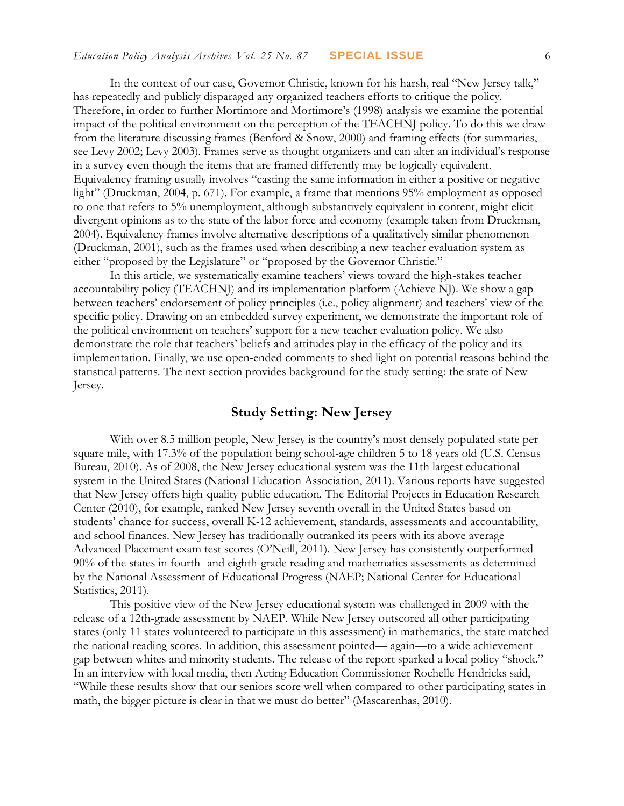In the context of our case, Governor Christie, known for his harsh, real "New Jersey talk," has repeatedly and publicly disparaged any organized teachers efforts to critique the policy. Therefore, in order to further Mortimore and Mortimore's (1998) analysis we examine the potential impact of the political environment on the perception of the TEACHNJ policy. To do this we draw from the literature discussing frames (Benford & Snow, 2000) and framing effects (for summaries, see Levy 2002; Levy 2003). Frames serve as thought organizers and can alter an individual's response in a survey even though the items that are framed differently may be logically equivalent. Equivalency framing usually involves "casting the same information in either a positive or negative light" (Druckman, 2004, p. 671). For example, a frame that mentions 95% employment as opposed to one that refers to 5% unemployment, although substantively equivalent in content, might elicit divergent opinions as to the state of the labor force and economy (example taken from Druckman, 2004). Equivalency frames involve alternative descriptions of a qualitatively similar phenomenon (Druckman, 2001), such as the frames used when describing a new teacher evaluation system as either "proposed by the Legislature" or "proposed by the Governor Christie."

In this article, we systematically examine teachers' views toward the high-stakes teacher accountability policy (TEACHNJ) and its implementation platform (Achieve NJ). We show a gap between teachers' endorsement of policy principles (i.e., policy alignment) and teachers' view of the specific policy. Drawing on an embedded survey experiment, we demonstrate the important role of the political environment on teachers' support for a new teacher evaluation policy. We also demonstrate the role that teachers' beliefs and attitudes play in the efficacy of the policy and its implementation. Finally, we use open-ended comments to shed light on potential reasons behind the statistical patterns. The next section provides background for the study setting: the state of New Jersey.

## **Study Setting: New Jersey**

With over 8.5 million people, New Jersey is the country's most densely populated state per square mile, with 17.3% of the population being school-age children 5 to 18 years old (U.S. Census Bureau, 2010). As of 2008, the New Jersey educational system was the 11th largest educational system in the United States (National Education Association, 2011). Various reports have suggested that New Jersey offers high-quality public education. The Editorial Projects in Education Research Center (2010), for example, ranked New Jersey seventh overall in the United States based on students' chance for success, overall K-12 achievement, standards, assessments and accountability, and school finances. New Jersey has traditionally outranked its peers with its above average Advanced Placement exam test scores (O'Neill, 2011). New Jersey has consistently outperformed 90% of the states in fourth- and eighth-grade reading and mathematics assessments as determined by the National Assessment of Educational Progress (NAEP; National Center for Educational Statistics, 2011).

This positive view of the New Jersey educational system was challenged in 2009 with the release of a 12th-grade assessment by NAEP. While New Jersey outscored all other participating states (only 11 states volunteered to participate in this assessment) in mathematics, the state matched the national reading scores. In addition, this assessment pointed— again—to a wide achievement gap between whites and minority students. The release of the report sparked a local policy "shock." In an interview with local media, then Acting Education Commissioner Rochelle Hendricks said, "While these results show that our seniors score well when compared to other participating states in math, the bigger picture is clear in that we must do better" (Mascarenhas, 2010).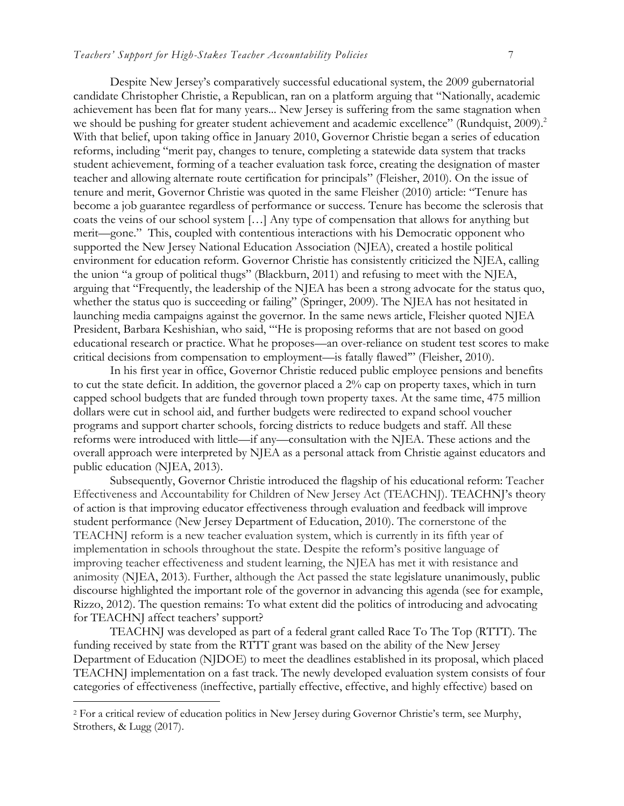Despite New Jersey's comparatively successful educational system, the 2009 gubernatorial candidate Christopher Christie, a Republican, ran on a platform arguing that "Nationally, academic achievement has been flat for many years... New Jersey is suffering from the same stagnation when we should be pushing for greater student achievement and academic excellence" (Rundquist, 2009).<sup>2</sup> With that belief, upon taking office in January 2010, Governor Christie began a series of education reforms, including "merit pay, changes to tenure, completing a statewide data system that tracks student achievement, forming of a teacher evaluation task force, creating the designation of master teacher and allowing alternate route certification for principals" (Fleisher, 2010). On the issue of tenure and merit, Governor Christie was quoted in the same Fleisher (2010) article: "Tenure has become a job guarantee regardless of performance or success. Tenure has become the sclerosis that coats the veins of our school system […] Any type of compensation that allows for anything but merit—gone." This, coupled with contentious interactions with his Democratic opponent who supported the New Jersey National Education Association (NJEA), created a hostile political environment for education reform. Governor Christie has consistently criticized the NJEA, calling the union "a group of political thugs" (Blackburn, 2011) and refusing to meet with the NJEA, arguing that "Frequently, the leadership of the NJEA has been a strong advocate for the status quo, whether the status quo is succeeding or failing" (Springer, 2009). The NJEA has not hesitated in launching media campaigns against the governor. In the same news article, Fleisher quoted NJEA President, Barbara Keshishian, who said, "'He is proposing reforms that are not based on good educational research or practice. What he proposes—an over-reliance on student test scores to make critical decisions from compensation to employment—is fatally flawed'" (Fleisher, 2010).

In his first year in office, Governor Christie reduced public employee pensions and benefits to cut the state deficit. In addition, the governor placed a 2% cap on property taxes, which in turn capped school budgets that are funded through town property taxes. At the same time, 475 million dollars were cut in school aid, and further budgets were redirected to expand school voucher programs and support charter schools, forcing districts to reduce budgets and staff. All these reforms were introduced with little—if any—consultation with the NJEA. These actions and the overall approach were interpreted by NJEA as a personal attack from Christie against educators and public education (NJEA, 2013).

Subsequently, Governor Christie introduced the flagship of his educational reform: Teacher Effectiveness and Accountability for Children of New Jersey Act (TEACHNJ). TEACHNJ's theory of action is that improving educator effectiveness through evaluation and feedback will improve student performance (New Jersey Department of Education, 2010). The cornerstone of the TEACHNJ reform is a new teacher evaluation system, which is currently in its fifth year of implementation in schools throughout the state. Despite the reform's positive language of improving teacher effectiveness and student learning, the NJEA has met it with resistance and animosity (NJEA, 2013). Further, although the Act passed the state legislature unanimously, public discourse highlighted the important role of the governor in advancing this agenda (see for example, Rizzo, 2012). The question remains: To what extent did the politics of introducing and advocating for TEACHNJ affect teachers' support?

TEACHNJ was developed as part of a federal grant called Race To The Top (RTTT). The funding received by state from the RTTT grant was based on the ability of the New Jersey Department of Education (NJDOE) to meet the deadlines established in its proposal, which placed TEACHNJ implementation on a fast track. The newly developed evaluation system consists of four categories of effectiveness (ineffective, partially effective, effective, and highly effective) based on

<sup>2</sup> For a critical review of education politics in New Jersey during Governor Christie's term, see Murphy, Strothers, & Lugg (2017).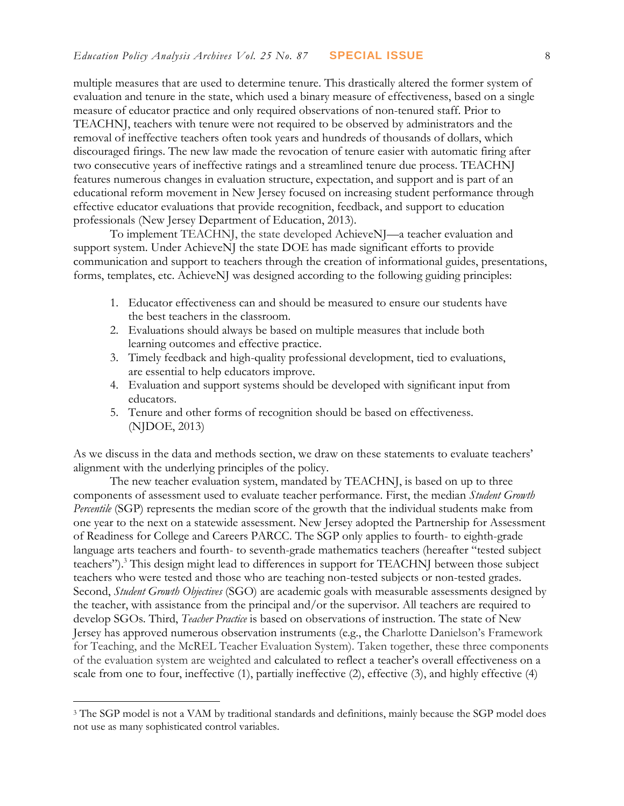multiple measures that are used to determine tenure. This drastically altered the former system of evaluation and tenure in the state, which used a binary measure of effectiveness, based on a single measure of educator practice and only required observations of non-tenured staff. Prior to TEACHNJ, teachers with tenure were not required to be observed by administrators and the removal of ineffective teachers often took years and hundreds of thousands of dollars, which discouraged firings. The new law made the revocation of tenure easier with automatic firing after two consecutive years of ineffective ratings and a streamlined tenure due process. TEACHNJ features numerous changes in evaluation structure, expectation, and support and is part of an educational reform movement in New Jersey focused on increasing student performance through effective educator evaluations that provide recognition, feedback, and support to education professionals (New Jersey Department of Education, 2013).

To implement TEACHNJ, the state developed AchieveNJ—a teacher evaluation and support system. Under AchieveNJ the state DOE has made significant efforts to provide communication and support to teachers through the creation of informational guides, presentations, forms, templates, etc. AchieveNJ was designed according to the following guiding principles:

- 1. Educator effectiveness can and should be measured to ensure our students have the best teachers in the classroom.
- 2. Evaluations should always be based on multiple measures that include both learning outcomes and effective practice.
- 3. Timely feedback and high-quality professional development, tied to evaluations, are essential to help educators improve.
- 4. Evaluation and support systems should be developed with significant input from educators.
- 5. Tenure and other forms of recognition should be based on effectiveness. (NJDOE, 2013)

As we discuss in the data and methods section, we draw on these statements to evaluate teachers' alignment with the underlying principles of the policy.

The new teacher evaluation system, mandated by TEACHNJ, is based on up to three components of assessment used to evaluate teacher performance. First, the median *Student Growth Percentile* (SGP) represents the median score of the growth that the individual students make from one year to the next on a statewide assessment. New Jersey adopted the Partnership for Assessment of Readiness for College and Careers PARCC. The SGP only applies to fourth- to eighth-grade language arts teachers and fourth- to seventh-grade mathematics teachers (hereafter "tested subject teachers").<sup>3</sup> This design might lead to differences in support for TEACHNJ between those subject teachers who were tested and those who are teaching non-tested subjects or non-tested grades. Second, *Student Growth Objectives* (SGO) are academic goals with measurable assessments designed by the teacher, with assistance from the principal and/or the supervisor. All teachers are required to develop SGOs. Third, *Teacher Practice* is based on observations of instruction. The state of New Jersey has approved numerous observation instruments (e.g., the Charlotte Danielson's Framework for Teaching, and the McREL Teacher Evaluation System). Taken together, these three components of the evaluation system are weighted and calculated to reflect a teacher's overall effectiveness on a scale from one to four, ineffective (1), partially ineffective (2), effective (3), and highly effective (4)

<sup>&</sup>lt;sup>3</sup> The SGP model is not a VAM by traditional standards and definitions, mainly because the SGP model does not use as many sophisticated control variables.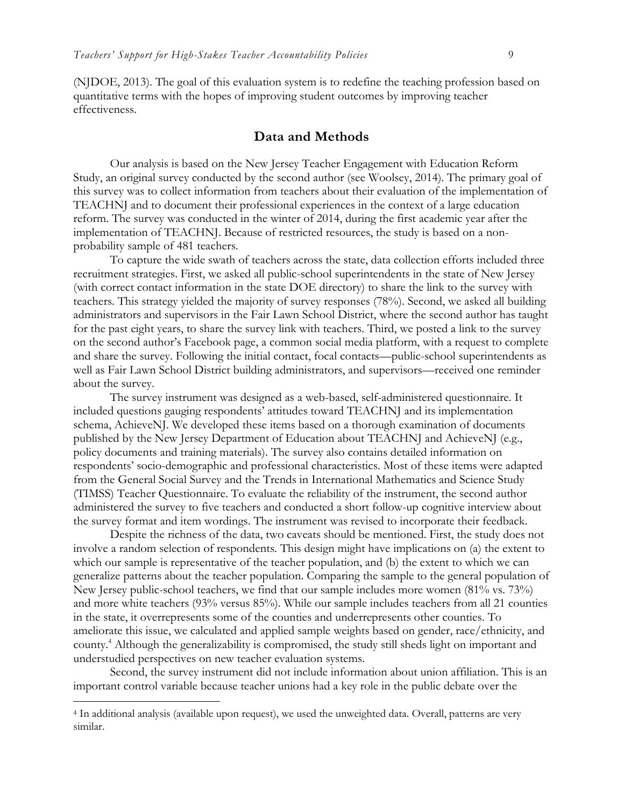(NJDOE, 2013). The goal of this evaluation system is to redefine the teaching profession based on quantitative terms with the hopes of improving student outcomes by improving teacher effectiveness.

#### **Data and Methods**

Our analysis is based on the New Jersey Teacher Engagement with Education Reform Study, an original survey conducted by the second author (see Woolsey, 2014). The primary goal of this survey was to collect information from teachers about their evaluation of the implementation of TEACHNJ and to document their professional experiences in the context of a large education reform. The survey was conducted in the winter of 2014, during the first academic year after the implementation of TEACHNJ. Because of restricted resources, the study is based on a nonprobability sample of 481 teachers.

To capture the wide swath of teachers across the state, data collection efforts included three recruitment strategies. First, we asked all public-school superintendents in the state of New Jersey (with correct contact information in the state DOE directory) to share the link to the survey with teachers. This strategy yielded the majority of survey responses (78%). Second, we asked all building administrators and supervisors in the Fair Lawn School District, where the second author has taught for the past eight years, to share the survey link with teachers. Third, we posted a link to the survey on the second author's Facebook page, a common social media platform, with a request to complete and share the survey. Following the initial contact, focal contacts—public-school superintendents as well as Fair Lawn School District building administrators, and supervisors—received one reminder about the survey.

The survey instrument was designed as a web-based, self-administered questionnaire. It included questions gauging respondents' attitudes toward TEACHNJ and its implementation schema, AchieveNJ. We developed these items based on a thorough examination of documents published by the New Jersey Department of Education about TEACHNJ and AchieveNJ (e.g., policy documents and training materials). The survey also contains detailed information on respondents' socio-demographic and professional characteristics. Most of these items were adapted from the General Social Survey and the Trends in International Mathematics and Science Study (TIMSS) Teacher Questionnaire. To evaluate the reliability of the instrument, the second author administered the survey to five teachers and conducted a short follow-up cognitive interview about the survey format and item wordings. The instrument was revised to incorporate their feedback.

Despite the richness of the data, two caveats should be mentioned. First, the study does not involve a random selection of respondents. This design might have implications on (a) the extent to which our sample is representative of the teacher population, and (b) the extent to which we can generalize patterns about the teacher population. Comparing the sample to the general population of New Jersey public-school teachers, we find that our sample includes more women (81% vs. 73%) and more white teachers (93% versus 85%). While our sample includes teachers from all 21 counties in the state, it overrepresents some of the counties and underrepresents other counties. To ameliorate this issue, we calculated and applied sample weights based on gender, race/ethnicity, and county.<sup>4</sup> Although the generalizability is compromised, the study still sheds light on important and understudied perspectives on new teacher evaluation systems.

Second, the survey instrument did not include information about union affiliation. This is an important control variable because teacher unions had a key role in the public debate over the

<sup>4</sup> In additional analysis (available upon request), we used the unweighted data. Overall, patterns are very similar.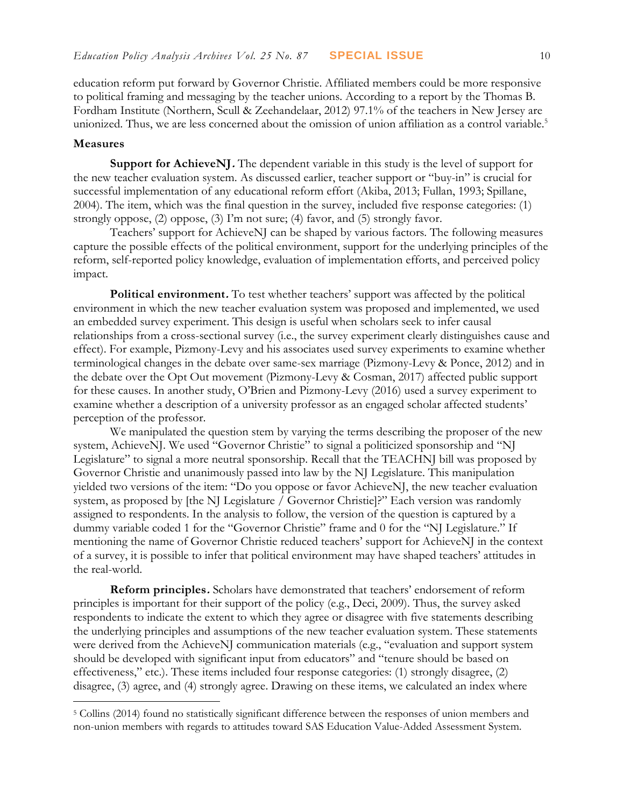education reform put forward by Governor Christie. Affiliated members could be more responsive to political framing and messaging by the teacher unions. According to a report by the Thomas B. Fordham Institute (Northern, Scull & Zeehandelaar, 2012) 97.1% of the teachers in New Jersey are unionized. Thus, we are less concerned about the omission of union affiliation as a control variable.<sup>5</sup>

#### **Measures**

 $\overline{a}$ 

**Support for AchieveNJ.** The dependent variable in this study is the level of support for the new teacher evaluation system. As discussed earlier, teacher support or "buy-in" is crucial for successful implementation of any educational reform effort (Akiba, 2013; Fullan, 1993; Spillane, 2004). The item, which was the final question in the survey, included five response categories: (1) strongly oppose, (2) oppose, (3) I'm not sure; (4) favor, and (5) strongly favor.

Teachers' support for AchieveNJ can be shaped by various factors. The following measures capture the possible effects of the political environment, support for the underlying principles of the reform, self-reported policy knowledge, evaluation of implementation efforts, and perceived policy impact.

**Political environment.** To test whether teachers' support was affected by the political environment in which the new teacher evaluation system was proposed and implemented, we used an embedded survey experiment. This design is useful when scholars seek to infer causal relationships from a cross-sectional survey (i.e., the survey experiment clearly distinguishes cause and effect). For example, Pizmony-Levy and his associates used survey experiments to examine whether terminological changes in the debate over same-sex marriage (Pizmony-Levy & Ponce, 2012) and in the debate over the Opt Out movement (Pizmony-Levy & Cosman, 2017) affected public support for these causes. In another study, O'Brien and Pizmony-Levy (2016) used a survey experiment to examine whether a description of a university professor as an engaged scholar affected students' perception of the professor.

We manipulated the question stem by varying the terms describing the proposer of the new system, AchieveNJ. We used "Governor Christie" to signal a politicized sponsorship and "NJ Legislature" to signal a more neutral sponsorship. Recall that the TEACHNJ bill was proposed by Governor Christie and unanimously passed into law by the NJ Legislature. This manipulation yielded two versions of the item: "Do you oppose or favor AchieveNJ, the new teacher evaluation system, as proposed by [the NJ Legislature / Governor Christie]?" Each version was randomly assigned to respondents. In the analysis to follow, the version of the question is captured by a dummy variable coded 1 for the "Governor Christie" frame and 0 for the "NJ Legislature." If mentioning the name of Governor Christie reduced teachers' support for AchieveNJ in the context of a survey, it is possible to infer that political environment may have shaped teachers' attitudes in the real-world.

**Reform principles.** Scholars have demonstrated that teachers' endorsement of reform principles is important for their support of the policy (e.g., Deci, 2009). Thus, the survey asked respondents to indicate the extent to which they agree or disagree with five statements describing the underlying principles and assumptions of the new teacher evaluation system. These statements were derived from the AchieveNJ communication materials (e.g., "evaluation and support system should be developed with significant input from educators" and "tenure should be based on effectiveness," etc.). These items included four response categories: (1) strongly disagree, (2) disagree, (3) agree, and (4) strongly agree. Drawing on these items, we calculated an index where

<sup>5</sup> Collins (2014) found no statistically significant difference between the responses of union members and non-union members with regards to attitudes toward SAS Education Value-Added Assessment System.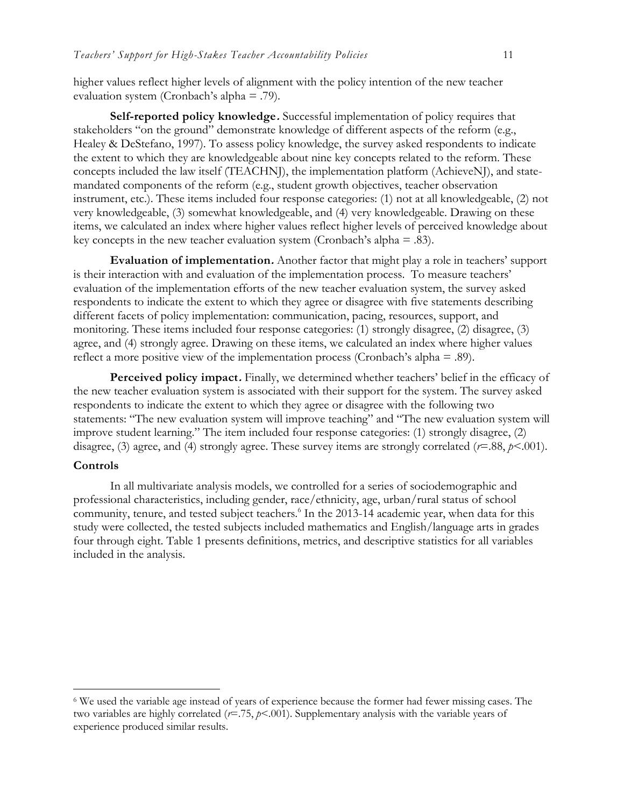higher values reflect higher levels of alignment with the policy intention of the new teacher evaluation system (Cronbach's alpha = .79).

**Self-reported policy knowledge.** Successful implementation of policy requires that stakeholders "on the ground" demonstrate knowledge of different aspects of the reform (e.g., Healey & DeStefano, 1997). To assess policy knowledge, the survey asked respondents to indicate the extent to which they are knowledgeable about nine key concepts related to the reform. These concepts included the law itself (TEACHNJ), the implementation platform (AchieveNJ), and statemandated components of the reform (e.g., student growth objectives, teacher observation instrument, etc.). These items included four response categories: (1) not at all knowledgeable, (2) not very knowledgeable, (3) somewhat knowledgeable, and (4) very knowledgeable. Drawing on these items, we calculated an index where higher values reflect higher levels of perceived knowledge about key concepts in the new teacher evaluation system (Cronbach's alpha  $=$  .83).

**Evaluation of implementation.** Another factor that might play a role in teachers' support is their interaction with and evaluation of the implementation process. To measure teachers' evaluation of the implementation efforts of the new teacher evaluation system, the survey asked respondents to indicate the extent to which they agree or disagree with five statements describing different facets of policy implementation: communication, pacing, resources, support, and monitoring. These items included four response categories: (1) strongly disagree, (2) disagree, (3) agree, and (4) strongly agree. Drawing on these items, we calculated an index where higher values reflect a more positive view of the implementation process (Cronbach's alpha = .89).

Perceived policy impact. Finally, we determined whether teachers' belief in the efficacy of the new teacher evaluation system is associated with their support for the system. The survey asked respondents to indicate the extent to which they agree or disagree with the following two statements: "The new evaluation system will improve teaching" and "The new evaluation system will improve student learning." The item included four response categories: (1) strongly disagree, (2) disagree, (3) agree, and (4) strongly agree. These survey items are strongly correlated ( $r=0.88$ ,  $p<0.001$ ).

#### **Controls**

 $\overline{a}$ 

In all multivariate analysis models, we controlled for a series of sociodemographic and professional characteristics, including gender, race/ethnicity, age, urban/rural status of school community, tenure, and tested subject teachers.<sup>6</sup> In the 2013-14 academic year, when data for this study were collected, the tested subjects included mathematics and English/language arts in grades four through eight. Table 1 presents definitions, metrics, and descriptive statistics for all variables included in the analysis.

<sup>6</sup> We used the variable age instead of years of experience because the former had fewer missing cases. The two variables are highly correlated (*r*=.75, *p*<.001). Supplementary analysis with the variable years of experience produced similar results.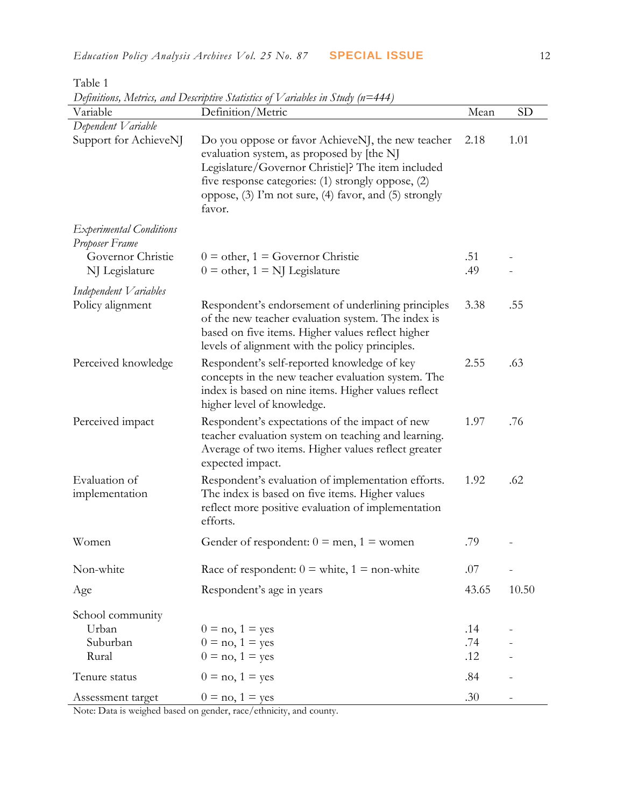| Variable                                         | Definitions, Metrics, and Descriptive Statistics of V ariables in Study (n=444)<br>Definition/Metric                                                                                                                                                                         | Mean       | <b>SD</b>         |
|--------------------------------------------------|------------------------------------------------------------------------------------------------------------------------------------------------------------------------------------------------------------------------------------------------------------------------------|------------|-------------------|
| Dependent Variable                               |                                                                                                                                                                                                                                                                              |            |                   |
| Support for AchieveNJ                            | Do you oppose or favor AchieveNJ, the new teacher<br>evaluation system, as proposed by [the N]<br>Legislature/Governor Christie]? The item included<br>five response categories: (1) strongly oppose, (2)<br>oppose, (3) I'm not sure, (4) favor, and (5) strongly<br>favor. | 2.18       | 1.01              |
| <b>Experimental Conditions</b><br>Proposer Frame |                                                                                                                                                                                                                                                                              |            |                   |
| Governor Christie<br>NJ Legislature              | $0 =$ other, $1 =$ Governor Christie<br>$0 =$ other, $1 =$ NJ Legislature                                                                                                                                                                                                    | .51<br>.49 | $\qquad \qquad -$ |
| Independent Variables                            |                                                                                                                                                                                                                                                                              |            |                   |
| Policy alignment                                 | Respondent's endorsement of underlining principles<br>of the new teacher evaluation system. The index is<br>based on five items. Higher values reflect higher<br>levels of alignment with the policy principles.                                                             | 3.38       | .55               |
| Perceived knowledge                              | Respondent's self-reported knowledge of key<br>concepts in the new teacher evaluation system. The<br>index is based on nine items. Higher values reflect<br>higher level of knowledge.                                                                                       | 2.55       | .63               |
| Perceived impact                                 | Respondent's expectations of the impact of new<br>teacher evaluation system on teaching and learning.<br>Average of two items. Higher values reflect greater<br>expected impact.                                                                                             | 1.97       | .76               |
| Evaluation of<br>implementation                  | Respondent's evaluation of implementation efforts.<br>The index is based on five items. Higher values<br>reflect more positive evaluation of implementation<br>efforts.                                                                                                      | 1.92       | .62               |
| Women                                            | Gender of respondent: $0 =$ men, $1 =$ women                                                                                                                                                                                                                                 | .79        |                   |
| Non-white                                        | Race of respondent: $0 =$ white, $1 =$ non-white                                                                                                                                                                                                                             | .07        | $\overline{a}$    |
| Age                                              | Respondent's age in years                                                                                                                                                                                                                                                    | 43.65      | 10.50             |
| School community                                 |                                                                                                                                                                                                                                                                              |            |                   |
| Urban                                            | $0 = no, 1 = yes$                                                                                                                                                                                                                                                            | .14        |                   |
| Suburban                                         | $0 = no, 1 = yes$                                                                                                                                                                                                                                                            | .74        |                   |
| Rural                                            | $0 = no, 1 = yes$                                                                                                                                                                                                                                                            | .12        |                   |
| Tenure status                                    | $0 = no, 1 = yes$                                                                                                                                                                                                                                                            | .84        |                   |
| Assessment target                                | $0 = no, 1 = yes$                                                                                                                                                                                                                                                            | .30        |                   |

Table 1  $D_{\text{c}}(X_{\text{c}})$  and  $D_{\text{c}}(X_{\text{c}})$   $\sum_{i=1}^{n}$   $\sum_{i=1}^{n}$   $\sum_{i=1}^{n}$   $\sum_{i=1}^{n}$   $\sum_{i=1}^{n}$   $\sum_{i=1}^{n}$   $\sum_{i=1}^{n}$   $\sum_{i=1}^{n}$ 

Note: Data is weighed based on gender, race/ethnicity, and county.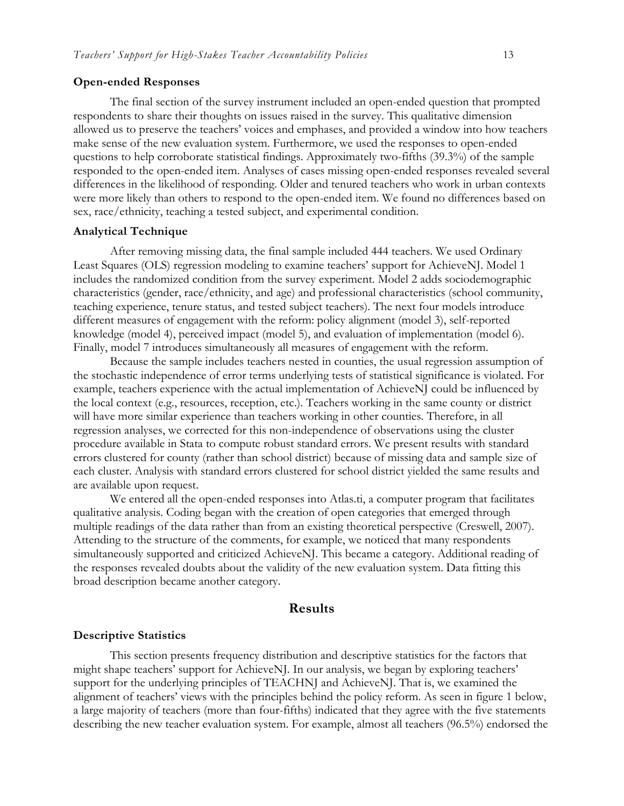#### **Open-ended Responses**

The final section of the survey instrument included an open-ended question that prompted respondents to share their thoughts on issues raised in the survey. This qualitative dimension allowed us to preserve the teachers' voices and emphases, and provided a window into how teachers make sense of the new evaluation system. Furthermore, we used the responses to open-ended questions to help corroborate statistical findings. Approximately two-fifths (39.3%) of the sample responded to the open-ended item. Analyses of cases missing open-ended responses revealed several differences in the likelihood of responding. Older and tenured teachers who work in urban contexts were more likely than others to respond to the open-ended item. We found no differences based on sex, race/ethnicity, teaching a tested subject, and experimental condition.

#### **Analytical Technique**

After removing missing data, the final sample included 444 teachers. We used Ordinary Least Squares (OLS) regression modeling to examine teachers' support for AchieveNJ. Model 1 includes the randomized condition from the survey experiment. Model 2 adds sociodemographic characteristics (gender, race/ethnicity, and age) and professional characteristics (school community, teaching experience, tenure status, and tested subject teachers). The next four models introduce different measures of engagement with the reform: policy alignment (model 3), self-reported knowledge (model 4), perceived impact (model 5), and evaluation of implementation (model 6). Finally, model 7 introduces simultaneously all measures of engagement with the reform.

Because the sample includes teachers nested in counties, the usual regression assumption of the stochastic independence of error terms underlying tests of statistical significance is violated. For example, teachers experience with the actual implementation of AchieveNJ could be influenced by the local context (e.g., resources, reception, etc.). Teachers working in the same county or district will have more similar experience than teachers working in other counties. Therefore, in all regression analyses, we corrected for this non-independence of observations using the cluster procedure available in Stata to compute robust standard errors. We present results with standard errors clustered for county (rather than school district) because of missing data and sample size of each cluster. Analysis with standard errors clustered for school district yielded the same results and are available upon request.

We entered all the open-ended responses into Atlas.ti, a computer program that facilitates qualitative analysis. Coding began with the creation of open categories that emerged through multiple readings of the data rather than from an existing theoretical perspective (Creswell, 2007). Attending to the structure of the comments, for example, we noticed that many respondents simultaneously supported and criticized AchieveNJ. This became a category. Additional reading of the responses revealed doubts about the validity of the new evaluation system. Data fitting this broad description became another category.

#### **Results**

#### **Descriptive Statistics**

This section presents frequency distribution and descriptive statistics for the factors that might shape teachers' support for AchieveNJ. In our analysis, we began by exploring teachers' support for the underlying principles of TEACHNJ and AchieveNJ. That is, we examined the alignment of teachers' views with the principles behind the policy reform. As seen in figure 1 below, a large majority of teachers (more than four-fifths) indicated that they agree with the five statements describing the new teacher evaluation system. For example, almost all teachers (96.5%) endorsed the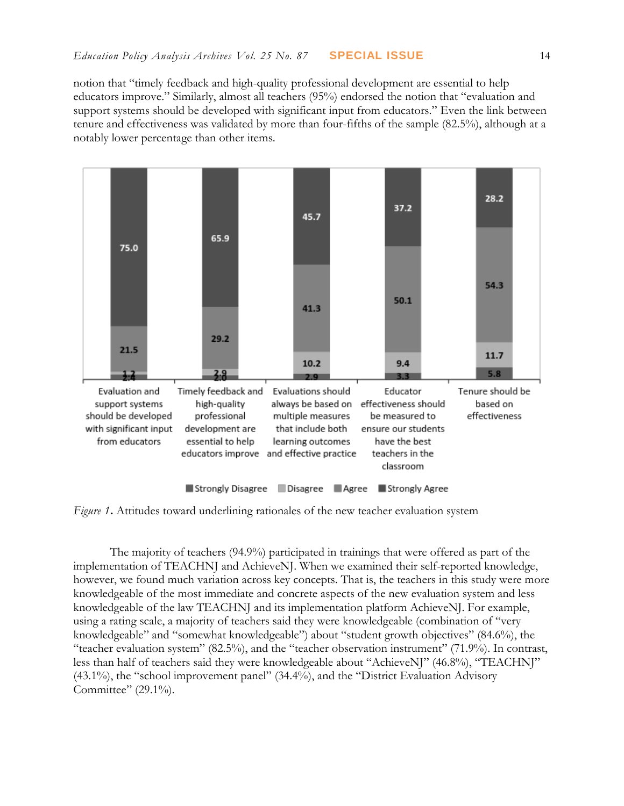notion that "timely feedback and high-quality professional development are essential to help educators improve." Similarly, almost all teachers (95%) endorsed the notion that "evaluation and support systems should be developed with significant input from educators." Even the link between tenure and effectiveness was validated by more than four-fifths of the sample (82.5%), although at a notably lower percentage than other items.



*Figure 1***.** Attitudes toward underlining rationales of the new teacher evaluation system

The majority of teachers (94.9%) participated in trainings that were offered as part of the implementation of TEACHNJ and AchieveNJ. When we examined their self-reported knowledge, however, we found much variation across key concepts. That is, the teachers in this study were more knowledgeable of the most immediate and concrete aspects of the new evaluation system and less knowledgeable of the law TEACHNJ and its implementation platform AchieveNJ. For example, using a rating scale, a majority of teachers said they were knowledgeable (combination of "very knowledgeable" and "somewhat knowledgeable") about "student growth objectives" (84.6%), the "teacher evaluation system" (82.5%), and the "teacher observation instrument" (71.9%). In contrast, less than half of teachers said they were knowledgeable about "AchieveNJ" (46.8%), "TEACHNJ" (43.1%), the "school improvement panel" (34.4%), and the "District Evaluation Advisory Committee" (29.1%).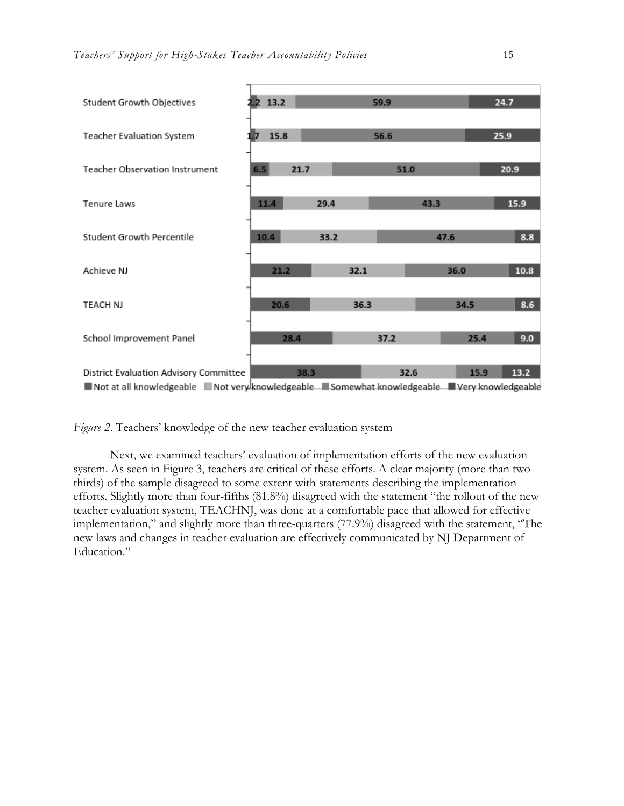

Not at all knowledgeable Not very knowledgeable Somewhat knowledgeable Very knowledgeable

*Figure 2*. Teachers' knowledge of the new teacher evaluation system

Next, we examined teachers' evaluation of implementation efforts of the new evaluation system. As seen in Figure 3, teachers are critical of these efforts. A clear majority (more than twothirds) of the sample disagreed to some extent with statements describing the implementation efforts. Slightly more than four-fifths (81.8%) disagreed with the statement "the rollout of the new teacher evaluation system, TEACHNJ, was done at a comfortable pace that allowed for effective implementation," and slightly more than three-quarters (77.9%) disagreed with the statement, "The new laws and changes in teacher evaluation are effectively communicated by NJ Department of Education"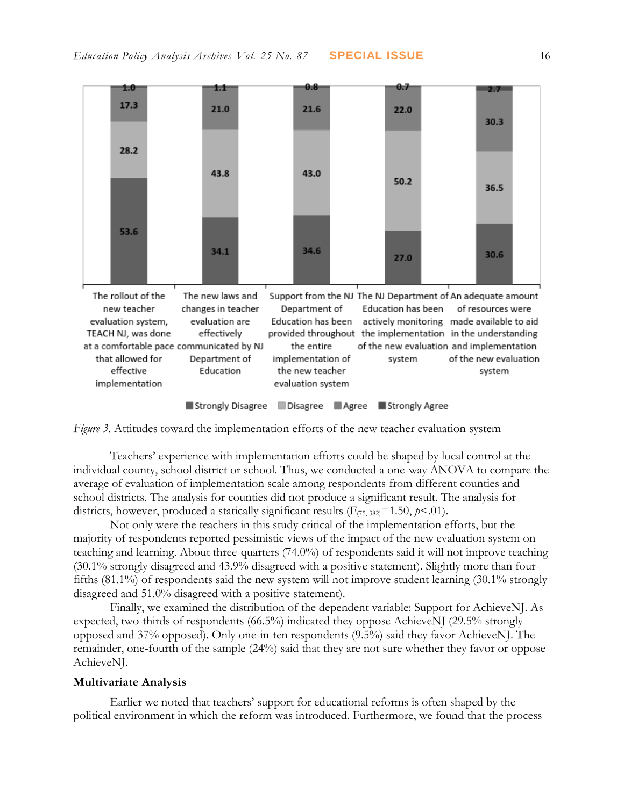

*Figure 3.* Attitudes toward the implementation efforts of the new teacher evaluation system

Teachers' experience with implementation efforts could be shaped by local control at the individual county, school district or school. Thus, we conducted a one-way ANOVA to compare the average of evaluation of implementation scale among respondents from different counties and school districts. The analysis for counties did not produce a significant result. The analysis for districts, however, produced a statically significant results  $(F_{(75, 382)}=1.50, p<.01)$ .

Not only were the teachers in this study critical of the implementation efforts, but the majority of respondents reported pessimistic views of the impact of the new evaluation system on teaching and learning. About three-quarters (74.0%) of respondents said it will not improve teaching (30.1% strongly disagreed and 43.9% disagreed with a positive statement). Slightly more than fourfifths (81.1%) of respondents said the new system will not improve student learning (30.1% strongly disagreed and 51.0% disagreed with a positive statement).

Finally, we examined the distribution of the dependent variable: Support for AchieveNJ. As expected, two-thirds of respondents (66.5%) indicated they oppose AchieveNJ (29.5% strongly opposed and 37% opposed). Only one-in-ten respondents (9.5%) said they favor AchieveNJ. The remainder, one-fourth of the sample (24%) said that they are not sure whether they favor or oppose AchieveNJ.

#### **Multivariate Analysis**

Earlier we noted that teachers' support for educational reforms is often shaped by the political environment in which the reform was introduced. Furthermore, we found that the process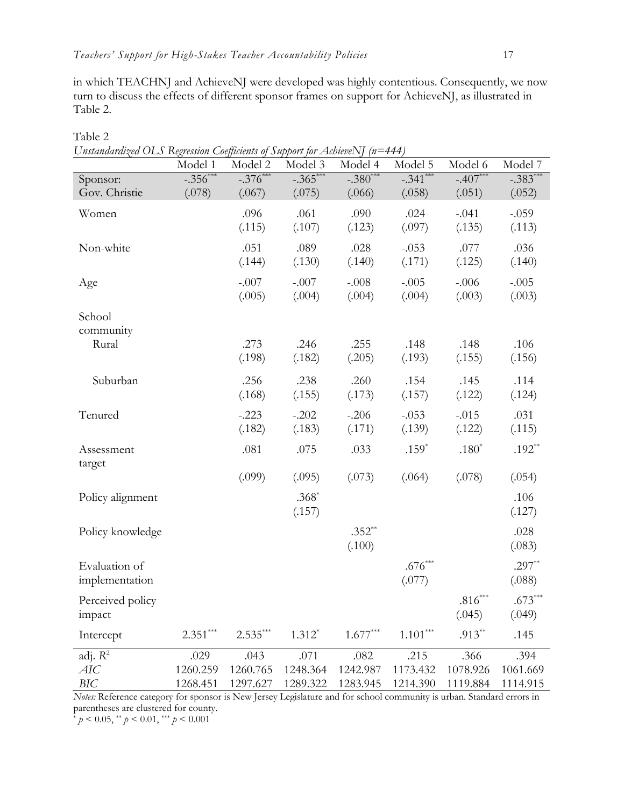Table 2

in which TEACHNJ and AchieveNJ were developed was highly contentious. Consequently, we now turn to discuss the effects of different sponsor frames on support for AchieveNJ, as illustrated in Table 2.

| Unstandardized OLS Regression Coefficients of Support for AchieveNJ (n=444) |             |            |             |            |            |            |            |
|-----------------------------------------------------------------------------|-------------|------------|-------------|------------|------------|------------|------------|
|                                                                             | Model 1     | Model 2    | Model 3     | Model 4    | Model 5    | Model 6    | Model 7    |
| Sponsor:                                                                    | $-.356$ *** | $-.376***$ | $-0.365***$ | $-.380***$ | $-.341***$ | $-.407***$ | $-.383***$ |
| Gov. Christie                                                               | (.078)      | (.067)     | (.075)      | (.066)     | (.058)     | (.051)     | (.052)     |
| Women                                                                       |             | .096       | .061        | .090       | .024       | $-.041$    | $-.059$    |
|                                                                             |             | (.115)     | (.107)      | (.123)     | (.097)     | (.135)     | (.113)     |
|                                                                             |             |            |             |            |            |            |            |
| Non-white                                                                   |             | .051       | .089        | .028       | $-.053$    | .077       | .036       |
|                                                                             |             | (.144)     | (.130)      | (.140)     | (.171)     | (.125)     | (.140)     |
| Age                                                                         |             | $-.007$    | $-.007$     | $-.008$    | $-.005$    | $-.006$    | $-.005$    |
|                                                                             |             | (.005)     | (.004)      | (.004)     | (.004)     | (.003)     | (.003)     |
|                                                                             |             |            |             |            |            |            |            |
| School                                                                      |             |            |             |            |            |            |            |
| community                                                                   |             |            |             |            |            |            |            |
| Rural                                                                       |             | .273       | .246        | .255       | .148       | .148       | .106       |
|                                                                             |             | (.198)     | (.182)      | (.205)     | (.193)     | (.155)     | (.156)     |
| Suburban                                                                    |             | .256       | .238        | .260       | .154       | .145       | .114       |
|                                                                             |             | (.168)     | (.155)      | (.173)     | (.157)     | (.122)     | (.124)     |
|                                                                             |             |            |             |            |            |            |            |
| Tenured                                                                     |             | $-.223$    | $-.202$     | $-.206$    | $-.053$    | $-.015$    | .031       |
|                                                                             |             | (.182)     | (.183)      | (.171)     | (.139)     | (.122)     | (.115)     |
| Assessment                                                                  |             | .081       | .075        | .033       | $.159*$    | $.180*$    | $.192**$   |
| target                                                                      |             |            |             |            |            |            |            |
|                                                                             |             | (.099)     | (.095)      | (.073)     | (.064)     | (.078)     | (.054)     |
|                                                                             |             |            | $.368*$     |            |            |            | .106       |
| Policy alignment                                                            |             |            |             |            |            |            |            |
|                                                                             |             |            | (.157)      |            |            |            | (.127)     |
| Policy knowledge                                                            |             |            |             | $.352**$   |            |            | .028       |
|                                                                             |             |            |             | (.100)     |            |            | (.083)     |
| Evaluation of                                                               |             |            |             |            | $.676***$  |            | $.297**$   |
|                                                                             |             |            |             |            | (.077)     |            |            |
| implementation                                                              |             |            |             |            |            |            | (.088)     |
| Perceived policy                                                            |             |            |             |            |            | $.816***$  | $.673***$  |
| impact                                                                      |             |            |             |            |            | (.045)     | (.049)     |
| Intercept                                                                   | $2.351***$  | $2.535***$ | $1.312*$    | $1.677***$ | $1.101***$ | $.913**$   | .145       |
|                                                                             |             |            |             |            |            |            |            |
| adj. $R^2$                                                                  | .029        | .043       | .071        | .082       | .215       | .366       | .394       |
| AIC                                                                         | 1260.259    | 1260.765   | 1248.364    | 1242.987   | 1173.432   | 1078.926   | 1061.669   |
| <b>BIC</b>                                                                  | 1268.451    | 1297.627   | 1289.322    | 1283.945   | 1214.390   | 1119.884   | 1114.915   |

*Unstandardized OLS Regression Coefficients of Support for AchieveNJ (n=444)*

*Notes:* Reference category for sponsor is New Jersey Legislature and for school community is urban. Standard errors in parentheses are clustered for county.

\* *p* < 0.05, \*\* *p* < 0.01, \*\*\* *p* < 0.001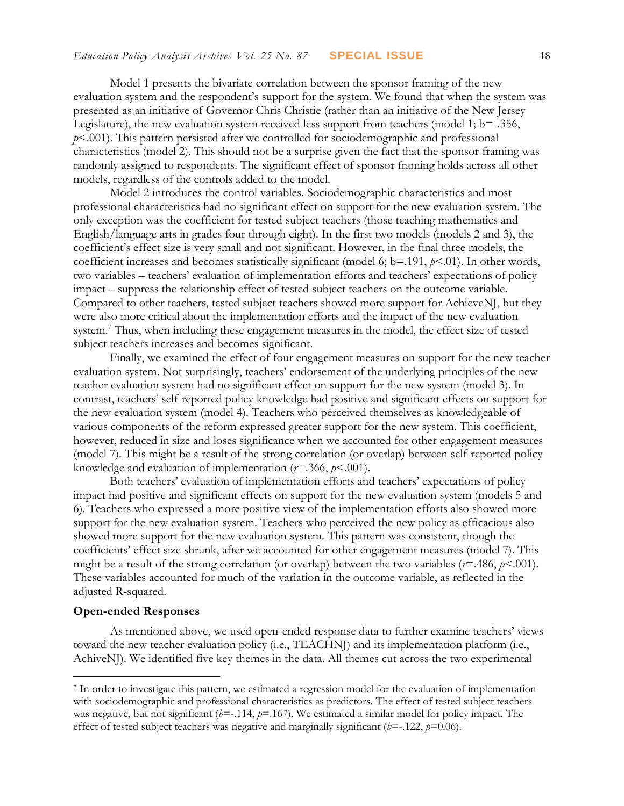Model 1 presents the bivariate correlation between the sponsor framing of the new evaluation system and the respondent's support for the system. We found that when the system was presented as an initiative of Governor Chris Christie (rather than an initiative of the New Jersey Legislature), the new evaluation system received less support from teachers (model 1;  $b = -0.356$ , *p*<.001). This pattern persisted after we controlled for sociodemographic and professional characteristics (model 2). This should not be a surprise given the fact that the sponsor framing was randomly assigned to respondents. The significant effect of sponsor framing holds across all other models, regardless of the controls added to the model.

Model 2 introduces the control variables. Sociodemographic characteristics and most professional characteristics had no significant effect on support for the new evaluation system. The only exception was the coefficient for tested subject teachers (those teaching mathematics and English/language arts in grades four through eight). In the first two models (models 2 and 3), the coefficient's effect size is very small and not significant. However, in the final three models, the coefficient increases and becomes statistically significant (model 6; b=.191, *p*<.01). In other words, two variables – teachers' evaluation of implementation efforts and teachers' expectations of policy impact – suppress the relationship effect of tested subject teachers on the outcome variable. Compared to other teachers, tested subject teachers showed more support for AchieveNJ, but they were also more critical about the implementation efforts and the impact of the new evaluation system.<sup>7</sup> Thus, when including these engagement measures in the model, the effect size of tested subject teachers increases and becomes significant.

Finally, we examined the effect of four engagement measures on support for the new teacher evaluation system. Not surprisingly, teachers' endorsement of the underlying principles of the new teacher evaluation system had no significant effect on support for the new system (model 3). In contrast, teachers' self-reported policy knowledge had positive and significant effects on support for the new evaluation system (model 4). Teachers who perceived themselves as knowledgeable of various components of the reform expressed greater support for the new system. This coefficient, however, reduced in size and loses significance when we accounted for other engagement measures (model 7). This might be a result of the strong correlation (or overlap) between self-reported policy knowledge and evaluation of implementation (*r*=.366, *p*<.001).

Both teachers' evaluation of implementation efforts and teachers' expectations of policy impact had positive and significant effects on support for the new evaluation system (models 5 and 6). Teachers who expressed a more positive view of the implementation efforts also showed more support for the new evaluation system. Teachers who perceived the new policy as efficacious also showed more support for the new evaluation system. This pattern was consistent, though the coefficients' effect size shrunk, after we accounted for other engagement measures (model 7). This might be a result of the strong correlation (or overlap) between the two variables (*r*=.486, *p*<.001). These variables accounted for much of the variation in the outcome variable, as reflected in the adjusted R-squared.

#### **Open-ended Responses**

 $\overline{a}$ 

As mentioned above, we used open-ended response data to further examine teachers' views toward the new teacher evaluation policy (i.e., TEACHNJ) and its implementation platform (i.e., AchiveNJ). We identified five key themes in the data. All themes cut across the two experimental

<sup>7</sup> In order to investigate this pattern, we estimated a regression model for the evaluation of implementation with sociodemographic and professional characteristics as predictors. The effect of tested subject teachers was negative, but not significant ( $b$ =-.114,  $p$ =.167). We estimated a similar model for policy impact. The effect of tested subject teachers was negative and marginally significant (*b*=-.122, *p*=0.06).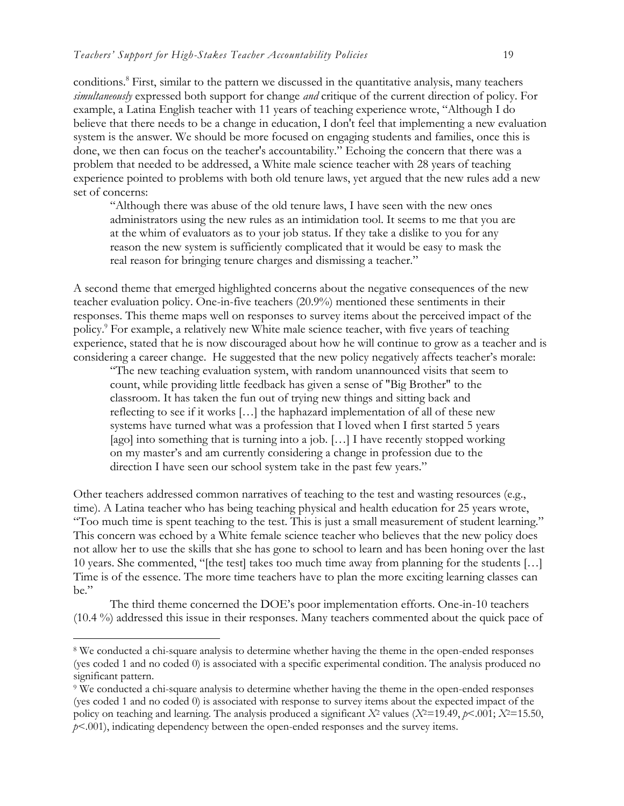conditions.<sup>8</sup> First, similar to the pattern we discussed in the quantitative analysis, many teachers *simultaneously* expressed both support for change *and* critique of the current direction of policy. For example, a Latina English teacher with 11 years of teaching experience wrote, "Although I do believe that there needs to be a change in education, I don't feel that implementing a new evaluation system is the answer. We should be more focused on engaging students and families, once this is done, we then can focus on the teacher's accountability." Echoing the concern that there was a problem that needed to be addressed, a White male science teacher with 28 years of teaching experience pointed to problems with both old tenure laws, yet argued that the new rules add a new set of concerns:

"Although there was abuse of the old tenure laws, I have seen with the new ones administrators using the new rules as an intimidation tool. It seems to me that you are at the whim of evaluators as to your job status. If they take a dislike to you for any reason the new system is sufficiently complicated that it would be easy to mask the real reason for bringing tenure charges and dismissing a teacher."

A second theme that emerged highlighted concerns about the negative consequences of the new teacher evaluation policy. One-in-five teachers (20.9%) mentioned these sentiments in their responses. This theme maps well on responses to survey items about the perceived impact of the policy.<sup>9</sup> For example, a relatively new White male science teacher, with five years of teaching experience, stated that he is now discouraged about how he will continue to grow as a teacher and is considering a career change. He suggested that the new policy negatively affects teacher's morale:

"The new teaching evaluation system, with random unannounced visits that seem to count, while providing little feedback has given a sense of "Big Brother" to the classroom. It has taken the fun out of trying new things and sitting back and reflecting to see if it works […] the haphazard implementation of all of these new systems have turned what was a profession that I loved when I first started 5 years [ago] into something that is turning into a job. [...] I have recently stopped working on my master's and am currently considering a change in profession due to the direction I have seen our school system take in the past few years."

Other teachers addressed common narratives of teaching to the test and wasting resources (e.g., time). A Latina teacher who has being teaching physical and health education for 25 years wrote, "Too much time is spent teaching to the test. This is just a small measurement of student learning." This concern was echoed by a White female science teacher who believes that the new policy does not allow her to use the skills that she has gone to school to learn and has been honing over the last 10 years. She commented, "[the test] takes too much time away from planning for the students […] Time is of the essence. The more time teachers have to plan the more exciting learning classes can  $he''$ 

The third theme concerned the DOE's poor implementation efforts. One-in-10 teachers (10.4 %) addressed this issue in their responses. Many teachers commented about the quick pace of

<sup>8</sup> We conducted a chi-square analysis to determine whether having the theme in the open-ended responses (yes coded 1 and no coded 0) is associated with a specific experimental condition. The analysis produced no significant pattern.

<sup>9</sup> We conducted a chi-square analysis to determine whether having the theme in the open-ended responses (yes coded 1 and no coded 0) is associated with response to survey items about the expected impact of the policy on teaching and learning. The analysis produced a significant  $X^2$  values  $(X^2=19.49, p<.001; X^2=15.50,$ *p*<.001), indicating dependency between the open-ended responses and the survey items.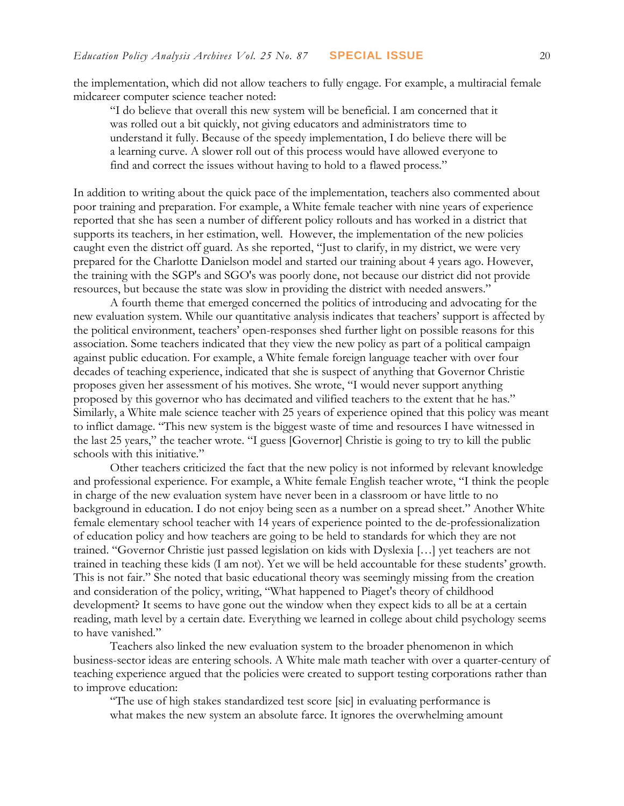the implementation, which did not allow teachers to fully engage. For example, a multiracial female midcareer computer science teacher noted:

"I do believe that overall this new system will be beneficial. I am concerned that it was rolled out a bit quickly, not giving educators and administrators time to understand it fully. Because of the speedy implementation, I do believe there will be a learning curve. A slower roll out of this process would have allowed everyone to find and correct the issues without having to hold to a flawed process."

In addition to writing about the quick pace of the implementation, teachers also commented about poor training and preparation. For example, a White female teacher with nine years of experience reported that she has seen a number of different policy rollouts and has worked in a district that supports its teachers, in her estimation, well. However, the implementation of the new policies caught even the district off guard. As she reported, "Just to clarify, in my district, we were very prepared for the Charlotte Danielson model and started our training about 4 years ago. However, the training with the SGP's and SGO's was poorly done, not because our district did not provide resources, but because the state was slow in providing the district with needed answers."

A fourth theme that emerged concerned the politics of introducing and advocating for the new evaluation system. While our quantitative analysis indicates that teachers' support is affected by the political environment, teachers' open-responses shed further light on possible reasons for this association. Some teachers indicated that they view the new policy as part of a political campaign against public education. For example, a White female foreign language teacher with over four decades of teaching experience, indicated that she is suspect of anything that Governor Christie proposes given her assessment of his motives. She wrote, "I would never support anything proposed by this governor who has decimated and vilified teachers to the extent that he has." Similarly, a White male science teacher with 25 years of experience opined that this policy was meant to inflict damage. "This new system is the biggest waste of time and resources I have witnessed in the last 25 years," the teacher wrote. "I guess [Governor] Christie is going to try to kill the public schools with this initiative."

Other teachers criticized the fact that the new policy is not informed by relevant knowledge and professional experience. For example, a White female English teacher wrote, "I think the people in charge of the new evaluation system have never been in a classroom or have little to no background in education. I do not enjoy being seen as a number on a spread sheet." Another White female elementary school teacher with 14 years of experience pointed to the de-professionalization of education policy and how teachers are going to be held to standards for which they are not trained. "Governor Christie just passed legislation on kids with Dyslexia […] yet teachers are not trained in teaching these kids (I am not). Yet we will be held accountable for these students' growth. This is not fair." She noted that basic educational theory was seemingly missing from the creation and consideration of the policy, writing, "What happened to Piaget's theory of childhood development? It seems to have gone out the window when they expect kids to all be at a certain reading, math level by a certain date. Everything we learned in college about child psychology seems to have vanished."

Teachers also linked the new evaluation system to the broader phenomenon in which business-sector ideas are entering schools. A White male math teacher with over a quarter-century of teaching experience argued that the policies were created to support testing corporations rather than to improve education:

"The use of high stakes standardized test score [sic] in evaluating performance is what makes the new system an absolute farce. It ignores the overwhelming amount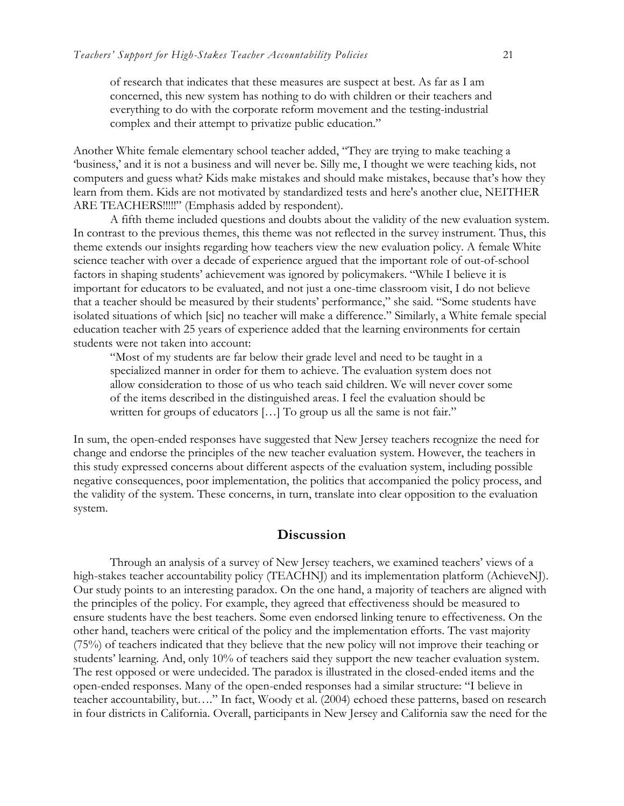of research that indicates that these measures are suspect at best. As far as I am concerned, this new system has nothing to do with children or their teachers and everything to do with the corporate reform movement and the testing-industrial complex and their attempt to privatize public education."

Another White female elementary school teacher added, "They are trying to make teaching a 'business,' and it is not a business and will never be. Silly me, I thought we were teaching kids, not computers and guess what? Kids make mistakes and should make mistakes, because that's how they learn from them. Kids are not motivated by standardized tests and here's another clue, NEITHER ARE TEACHERS!!!!!" (Emphasis added by respondent).

A fifth theme included questions and doubts about the validity of the new evaluation system. In contrast to the previous themes, this theme was not reflected in the survey instrument. Thus, this theme extends our insights regarding how teachers view the new evaluation policy. A female White science teacher with over a decade of experience argued that the important role of out-of-school factors in shaping students' achievement was ignored by policymakers. "While I believe it is important for educators to be evaluated, and not just a one-time classroom visit, I do not believe that a teacher should be measured by their students' performance," she said. "Some students have isolated situations of which [sic] no teacher will make a difference." Similarly, a White female special education teacher with 25 years of experience added that the learning environments for certain students were not taken into account:

"Most of my students are far below their grade level and need to be taught in a specialized manner in order for them to achieve. The evaluation system does not allow consideration to those of us who teach said children. We will never cover some of the items described in the distinguished areas. I feel the evaluation should be written for groups of educators [...] To group us all the same is not fair."

In sum, the open-ended responses have suggested that New Jersey teachers recognize the need for change and endorse the principles of the new teacher evaluation system. However, the teachers in this study expressed concerns about different aspects of the evaluation system, including possible negative consequences, poor implementation, the politics that accompanied the policy process, and the validity of the system. These concerns, in turn, translate into clear opposition to the evaluation system.

#### **Discussion**

Through an analysis of a survey of New Jersey teachers, we examined teachers' views of a high-stakes teacher accountability policy (TEACHNJ) and its implementation platform (AchieveNJ). Our study points to an interesting paradox. On the one hand, a majority of teachers are aligned with the principles of the policy. For example, they agreed that effectiveness should be measured to ensure students have the best teachers. Some even endorsed linking tenure to effectiveness. On the other hand, teachers were critical of the policy and the implementation efforts. The vast majority (75%) of teachers indicated that they believe that the new policy will not improve their teaching or students' learning. And, only 10% of teachers said they support the new teacher evaluation system. The rest opposed or were undecided. The paradox is illustrated in the closed-ended items and the open-ended responses. Many of the open-ended responses had a similar structure: "I believe in teacher accountability, but…." In fact, Woody et al. (2004) echoed these patterns, based on research in four districts in California. Overall, participants in New Jersey and California saw the need for the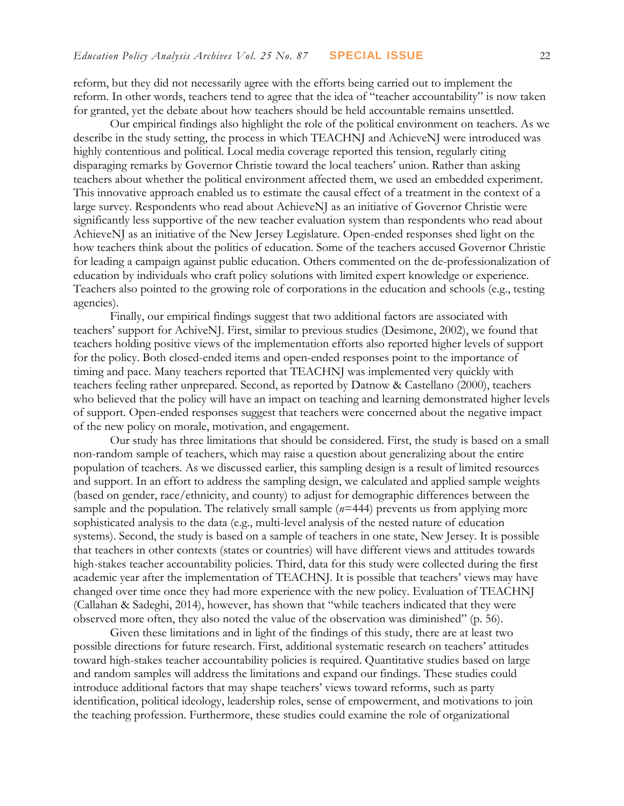reform, but they did not necessarily agree with the efforts being carried out to implement the reform. In other words, teachers tend to agree that the idea of "teacher accountability" is now taken for granted, yet the debate about how teachers should be held accountable remains unsettled.

Our empirical findings also highlight the role of the political environment on teachers. As we describe in the study setting, the process in which TEACHNJ and AchieveNJ were introduced was highly contentious and political. Local media coverage reported this tension, regularly citing disparaging remarks by Governor Christie toward the local teachers' union. Rather than asking teachers about whether the political environment affected them, we used an embedded experiment. This innovative approach enabled us to estimate the causal effect of a treatment in the context of a large survey. Respondents who read about AchieveNJ as an initiative of Governor Christie were significantly less supportive of the new teacher evaluation system than respondents who read about AchieveNJ as an initiative of the New Jersey Legislature. Open-ended responses shed light on the how teachers think about the politics of education. Some of the teachers accused Governor Christie for leading a campaign against public education. Others commented on the de-professionalization of education by individuals who craft policy solutions with limited expert knowledge or experience. Teachers also pointed to the growing role of corporations in the education and schools (e.g., testing agencies).

Finally, our empirical findings suggest that two additional factors are associated with teachers' support for AchiveNJ. First, similar to previous studies (Desimone, 2002), we found that teachers holding positive views of the implementation efforts also reported higher levels of support for the policy. Both closed-ended items and open-ended responses point to the importance of timing and pace. Many teachers reported that TEACHNJ was implemented very quickly with teachers feeling rather unprepared. Second, as reported by Datnow & Castellano (2000), teachers who believed that the policy will have an impact on teaching and learning demonstrated higher levels of support. Open-ended responses suggest that teachers were concerned about the negative impact of the new policy on morale, motivation, and engagement.

Our study has three limitations that should be considered. First, the study is based on a small non-random sample of teachers, which may raise a question about generalizing about the entire population of teachers. As we discussed earlier, this sampling design is a result of limited resources and support. In an effort to address the sampling design, we calculated and applied sample weights (based on gender, race/ethnicity, and county) to adjust for demographic differences between the sample and the population. The relatively small sample (*n*=444) prevents us from applying more sophisticated analysis to the data (e.g., multi-level analysis of the nested nature of education systems). Second, the study is based on a sample of teachers in one state, New Jersey. It is possible that teachers in other contexts (states or countries) will have different views and attitudes towards high-stakes teacher accountability policies. Third, data for this study were collected during the first academic year after the implementation of TEACHNJ. It is possible that teachers' views may have changed over time once they had more experience with the new policy. Evaluation of TEACHNJ (Callahan & Sadeghi, 2014), however, has shown that "while teachers indicated that they were observed more often, they also noted the value of the observation was diminished" (p. 56).

Given these limitations and in light of the findings of this study, there are at least two possible directions for future research. First, additional systematic research on teachers' attitudes toward high-stakes teacher accountability policies is required. Quantitative studies based on large and random samples will address the limitations and expand our findings. These studies could introduce additional factors that may shape teachers' views toward reforms, such as party identification, political ideology, leadership roles, sense of empowerment, and motivations to join the teaching profession. Furthermore, these studies could examine the role of organizational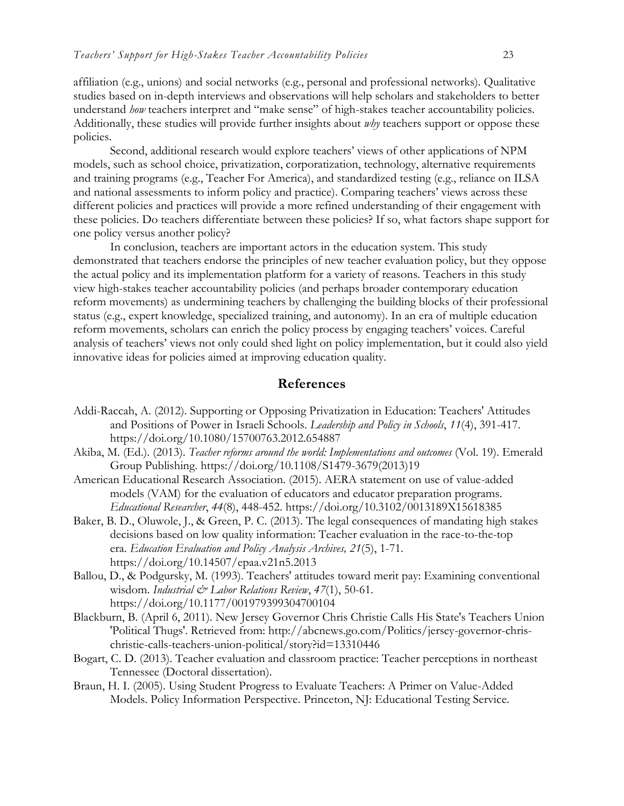affiliation (e.g., unions) and social networks (e.g., personal and professional networks). Qualitative studies based on in-depth interviews and observations will help scholars and stakeholders to better understand *how* teachers interpret and "make sense" of high-stakes teacher accountability policies. Additionally, these studies will provide further insights about *why* teachers support or oppose these policies.

Second, additional research would explore teachers' views of other applications of NPM models, such as school choice, privatization, corporatization, technology, alternative requirements and training programs (e.g., Teacher For America), and standardized testing (e.g., reliance on ILSA and national assessments to inform policy and practice). Comparing teachers' views across these different policies and practices will provide a more refined understanding of their engagement with these policies. Do teachers differentiate between these policies? If so, what factors shape support for one policy versus another policy?

In conclusion, teachers are important actors in the education system. This study demonstrated that teachers endorse the principles of new teacher evaluation policy, but they oppose the actual policy and its implementation platform for a variety of reasons. Teachers in this study view high-stakes teacher accountability policies (and perhaps broader contemporary education reform movements) as undermining teachers by challenging the building blocks of their professional status (e.g., expert knowledge, specialized training, and autonomy). In an era of multiple education reform movements, scholars can enrich the policy process by engaging teachers' voices. Careful analysis of teachers' views not only could shed light on policy implementation, but it could also yield innovative ideas for policies aimed at improving education quality.

#### **References**

- Addi-Raccah, A. (2012). Supporting or Opposing Privatization in Education: Teachers' Attitudes and Positions of Power in Israeli Schools. *Leadership and Policy in Schools*, *11*(4), 391-417. https://doi.org/10.1080/15700763.2012.654887
- Akiba, M. (Ed.). (2013). *Teacher reforms around the world: Implementations and outcomes* (Vol. 19). Emerald Group Publishing. https://doi.org/10.1108/S1479-3679(2013)19
- American Educational Research Association. (2015). AERA statement on use of value-added models (VAM) for the evaluation of educators and educator preparation programs. *Educational Researcher*, *44*(8), 448-452. https://doi.org/10.3102/0013189X15618385
- Baker, B. D., Oluwole, J., & Green, P. C. (2013). The legal consequences of mandating high stakes decisions based on low quality information: Teacher evaluation in the race-to-the-top era. *Education Evaluation and Policy Analysis Archives, 21*(5), 1-71. https://doi.org/10.14507/epaa.v21n5.2013
- Ballou, D., & Podgursky, M. (1993). Teachers' attitudes toward merit pay: Examining conventional wisdom. *Industrial & Labor Relations Review*, *47*(1), 50-61. https://doi.org/10.1177/001979399304700104
- Blackburn, B. (April 6, 2011). New Jersey Governor Chris Christie Calls His State's Teachers Union 'Political Thugs'. Retrieved from: http://abcnews.go.com/Politics/jersey-governor-chrischristie-calls-teachers-union-political/story?id=13310446
- Bogart, C. D. (2013). Teacher evaluation and classroom practice: Teacher perceptions in northeast Tennessee (Doctoral dissertation).
- Braun, H. I. (2005). Using Student Progress to Evaluate Teachers: A Primer on Value-Added Models. Policy Information Perspective. Princeton, NJ: Educational Testing Service.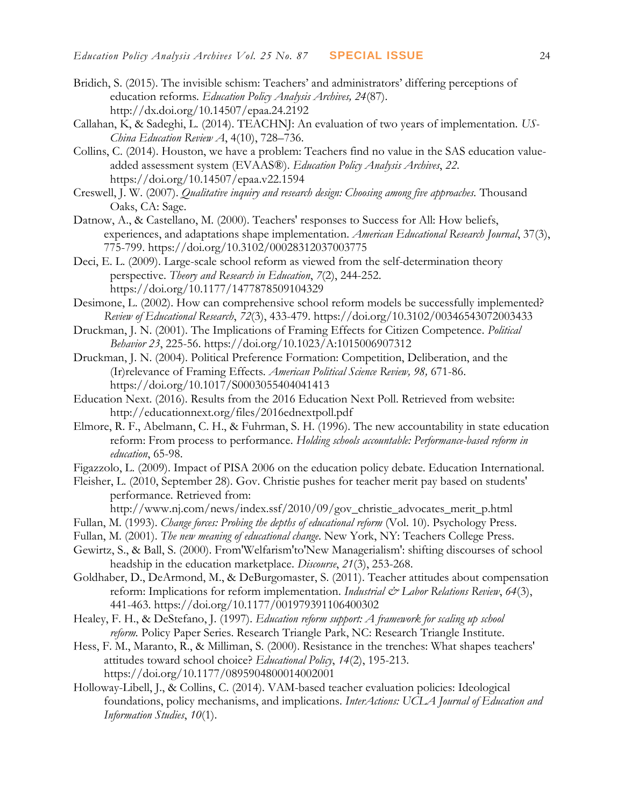- Bridich, S. (2015). The invisible schism: Teachers' and administrators' differing perceptions of education reforms*. Education Policy Analysis Archives, 24*(87). http://dx.doi.org/10.14507/epaa.24.2192
- Callahan, K, & Sadeghi, L. (2014). TEACHNJ: An evaluation of two years of implementation. *US-China Education Review A*, 4(10), 728–736.
- Collins, C. (2014). Houston, we have a problem: Teachers find no value in the SAS education valueadded assessment system (EVAAS®). *Education Policy Analysis Archives*, *22*. https://doi.org/10.14507/epaa.v22.1594
- Creswell, J. W. (2007). *Qualitative inquiry and research design: Choosing among five approaches.* Thousand Oaks, CA: Sage.
- Datnow, A., & Castellano, M. (2000). Teachers' responses to Success for All: How beliefs, experiences, and adaptations shape implementation. *American Educational Research Journal*, 37(3), 775-799. https://doi.org/10.3102/00028312037003775
- Deci, E. L. (2009). Large-scale school reform as viewed from the self-determination theory perspective. *Theory and Research in Education*, *7*(2), 244-252. https://doi.org/10.1177/1477878509104329
- Desimone, L. (2002). How can comprehensive school reform models be successfully implemented? *Review of Educational Research*, *72*(3), 433-479. https://doi.org/10.3102/00346543072003433
- Druckman, J. N. (2001). The Implications of Framing Effects for Citizen Competence. *Political Behavior 23*, 225-56. https://doi.org/10.1023/A:1015006907312
- Druckman, J. N. (2004). Political Preference Formation: Competition, Deliberation, and the (Ir)relevance of Framing Effects. *American Political Science Review, 98,* 671-86. https://doi.org/10.1017/S0003055404041413
- Education Next. (2016). Results from the 2016 Education Next Poll. Retrieved from website: http://educationnext.org/files/2016ednextpoll.pdf
- Elmore, R. F., Abelmann, C. H., & Fuhrman, S. H. (1996). The new accountability in state education reform: From process to performance. *Holding schools accountable: Performance-based reform in education*, 65-98.
- Figazzolo, L. (2009). Impact of PISA 2006 on the education policy debate. Education International.
- Fleisher, L. (2010, September 28). Gov. Christie pushes for teacher merit pay based on students' performance. Retrieved from:

http://www.nj.com/news/index.ssf/2010/09/gov\_christie\_advocates\_merit\_p.html

- Fullan, M. (1993). *Change forces: Probing the depths of educational reform* (Vol. 10). Psychology Press.
- Fullan, M. (2001). *The new meaning of educational change*. New York, NY: Teachers College Press.
- Gewirtz, S., & Ball, S. (2000). From'Welfarism'to'New Managerialism': shifting discourses of school headship in the education marketplace. *Discourse*, *21*(3), 253-268.

Goldhaber, D., DeArmond, M., & DeBurgomaster, S. (2011). Teacher attitudes about compensation reform: Implications for reform implementation. *Industrial & Labor Relations Review*, 64(3), 441-463. https://doi.org/10.1177/001979391106400302

- Healey, F. H., & DeStefano, J. (1997). *Education reform support: A framework for scaling up school reform.* Policy Paper Series. Research Triangle Park, NC: Research Triangle Institute.
- Hess, F. M., Maranto, R., & Milliman, S. (2000). Resistance in the trenches: What shapes teachers' attitudes toward school choice? *Educational Policy*, *14*(2), 195-213. https://doi.org/10.1177/0895904800014002001
- Holloway-Libell, J., & Collins, C. (2014). VAM-based teacher evaluation policies: Ideological foundations, policy mechanisms, and implications. *InterActions: UCLA Journal of Education and Information Studies*, *10*(1).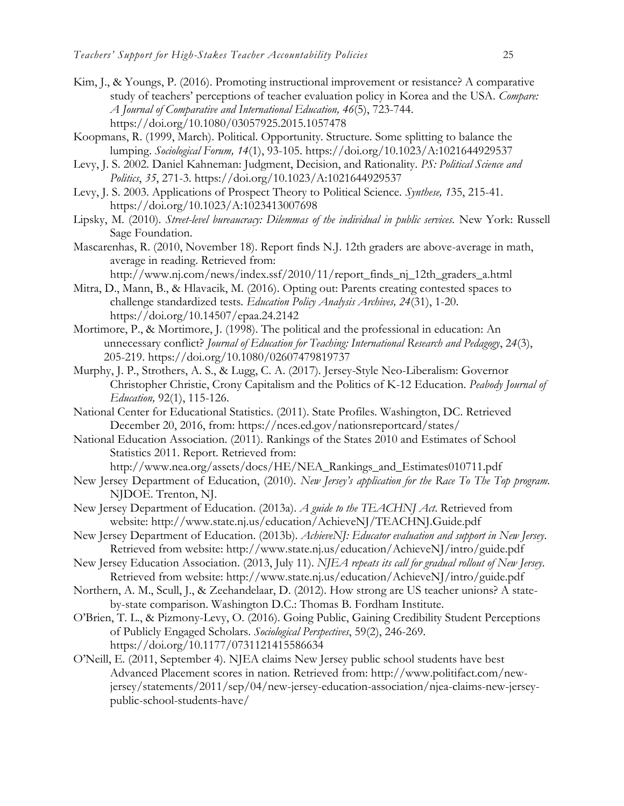- Kim, J., & Youngs, P. (2016). Promoting instructional improvement or resistance? A comparative study of teachers' perceptions of teacher evaluation policy in Korea and the USA. *Compare: A Journal of Comparative and International Education, 46*(5), 723-744. https://doi.org/10.1080/03057925.2015.1057478
- Koopmans, R. (1999, March). Political. Opportunity. Structure. Some splitting to balance the lumping. *Sociological Forum, 14*(1), 93-105. https://doi.org/10.1023/A:1021644929537
- Levy, J. S. 2002. Daniel Kahneman: Judgment, Decision, and Rationality. *PS: Political Science and Politics*, *35*, 271-3. https://doi.org/10.1023/A:1021644929537
- Levy, J. S. 2003. Applications of Prospect Theory to Political Science. *Synthese, 1*35, 215-41. https://doi.org/10.1023/A:1023413007698
- Lipsky, M. (2010). *Street-level bureaucracy: Dilemmas of the individual in public services.* New York: Russell Sage Foundation.
- Mascarenhas, R. (2010, November 18). Report finds N.J. 12th graders are above-average in math, average in reading. Retrieved from:
	- http://www.nj.com/news/index.ssf/2010/11/report\_finds\_nj\_12th\_graders\_a.html
- Mitra, D., Mann, B., & Hlavacik, M. (2016). Opting out: Parents creating contested spaces to challenge standardized tests. *Education Policy Analysis Archives, 24*(31), 1-20. https://doi.org/10.14507/epaa.24.2142
- Mortimore, P., & Mortimore, J. (1998). The political and the professional in education: An unnecessary conflict? *Journal of Education for Teaching: International Research and Pedagogy*, 2*4*(3), 205-219. https://doi.org/10.1080/02607479819737
- Murphy, J. P., Strothers, A. S., & Lugg, C. A. (2017). Jersey-Style Neo-Liberalism: Governor Christopher Christie, Crony Capitalism and the Politics of K-12 Education. *Peabody Journal of Education,* 92(1), 115-126.
- National Center for Educational Statistics. (2011). State Profiles. Washington, DC. Retrieved December 20, 2016, from: <https://nces.ed.gov/nationsreportcard/states/>
- National Education Association. (2011). Rankings of the States 2010 and Estimates of School Statistics 2011. Report. Retrieved from:

[http://www.nea.org/assets/docs/HE/NEA\\_Rankings\\_and\\_Estimates010711.pdf](http://www.nea.org/assets/docs/HE/NEA_Rankings_and_Estimates010711.pdf)

- New Jersey Department of Education, (2010). *New Jersey's application for the Race To The Top program.* NJDOE. Trenton, NJ.
- New Jersey Department of Education. (2013a). *A guide to the TEACHNJ Act*. Retrieved from website: http://www.state.nj.us/education/AchieveNJ/TEACHNJ.Guide.pdf
- New Jersey Department of Education. (2013b). *AchieveNJ: Educator evaluation and support in New Jersey*. Retrieved from website: http://www.state.nj.us/education/AchieveNJ/intro/guide.pdf
- New Jersey Education Association. (2013, July 11). *NJEA repeats its call for gradual rollout of New Jersey*. Retrieved from website: http://www.state.nj.us/education/AchieveNJ/intro/guide.pdf
- Northern, A. M., Scull, J., & Zeehandelaar, D. (2012). How strong are US teacher unions? A stateby-state comparison. Washington D.C.: Thomas B. Fordham Institute.
- O'Brien, T. L., & Pizmony-Levy, O. (2016). Going Public, Gaining Credibility Student Perceptions of Publicly Engaged Scholars. *Sociological Perspectives*, 59(2), 246-269. https://doi.org/10.1177/0731121415586634
- O'Neill, E. (2011, September 4). NJEA claims New Jersey public school students have best Advanced Placement scores in nation. Retrieved from: [http://www.politifact.com/new](http://www.politifact.com/new-jersey/statements/2011/sep/04/new-jersey-education-association/njea-claims-new-jersey-public-school-students-have/)[jersey/statements/2011/sep/04/new-jersey-education-association/njea-claims-new-jersey](http://www.politifact.com/new-jersey/statements/2011/sep/04/new-jersey-education-association/njea-claims-new-jersey-public-school-students-have/)[public-school-students-have/](http://www.politifact.com/new-jersey/statements/2011/sep/04/new-jersey-education-association/njea-claims-new-jersey-public-school-students-have/)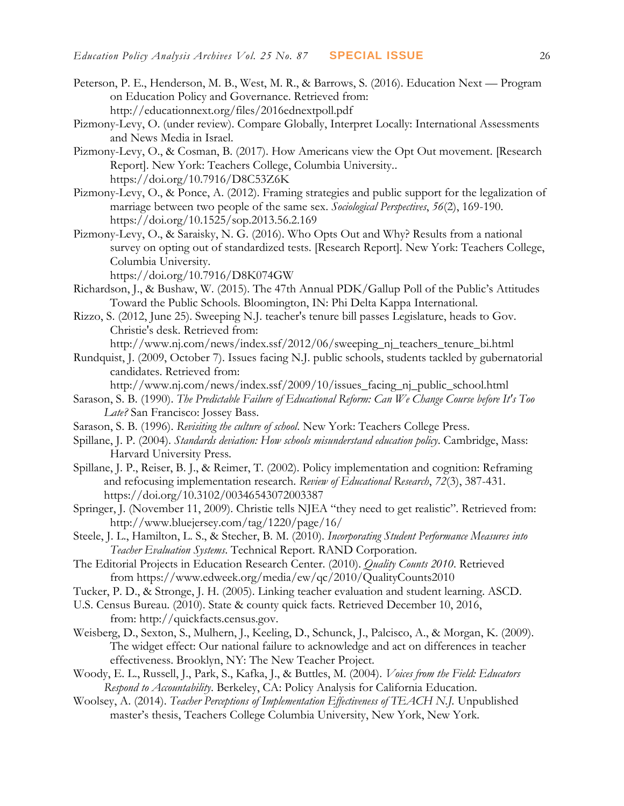- Peterson, P. E., Henderson, M. B., West, M. R., & Barrows, S. (2016). Education Next Program on Education Policy and Governance. Retrieved from: <http://educationnext.org/files/2016ednextpoll.pdf>
- Pizmony-Levy, O. (under review). Compare Globally, Interpret Locally: International Assessments and News Media in Israel.
- Pizmony-Levy, O., & Cosman, B. (2017). How Americans view the Opt Out movement. [Research Report]. New York: Teachers College, Columbia University.. https://doi.org/10.7916/D8C53Z6K
- Pizmony-Levy, O., & Ponce, A. (2012). Framing strategies and public support for the legalization of marriage between two people of the same sex. *Sociological Perspectives*, *56*(2), 169-190. https://doi.org/10.1525/sop.2013.56.2.169
- Pizmony-Levy, O., & Saraisky, N. G. (2016). Who Opts Out and Why? Results from a national survey on opting out of standardized tests. [Research Report]. New York: Teachers College, Columbia University.

<https://doi.org/10.7916/D8K074GW>

- Richardson, J., & Bushaw, W. (2015). The 47th Annual PDK/Gallup Poll of the Public's Attitudes Toward the Public Schools. Bloomington, IN: Phi Delta Kappa International.
- Rizzo, S. (2012, June 25). Sweeping N.J. teacher's tenure bill passes Legislature, heads to Gov. Christie's desk. Retrieved from:
	- http://www.nj.com/news/index.ssf/2012/06/sweeping\_nj\_teachers\_tenure\_bi.html
- Rundquist, J. (2009, October 7). Issues facing N.J. public schools, students tackled by gubernatorial candidates. Retrieved from:
- http://www.nj.com/news/index.ssf/2009/10/issues\_facing\_nj\_public\_school.html Sarason, S. B. (1990). *The Predictable Failure of Educational Reform: Can We Change Course before It's Too*

*Late?* San Francisco: Jossey Bass.

- Sarason, S. B. (1996). *Revisiting the culture of school*. New York: Teachers College Press.
- Spillane, J. P. (2004). *Standards deviation: How schools misunderstand education policy*. Cambridge, Mass: Harvard University Press.
- Spillane, J. P., Reiser, B. J., & Reimer, T. (2002). Policy implementation and cognition: Reframing and refocusing implementation research. *Review of Educational Research*, *72*(3), 387-431. https://doi.org/10.3102/00346543072003387
- Springer, J. (November 11, 2009). Christie tells NJEA "they need to get realistic". Retrieved from: http://www.bluejersey.com/tag/1220/page/16/
- Steele, J. L., Hamilton, L. S., & Stecher, B. M. (2010). *Incorporating Student Performance Measures into Teacher Evaluation Systems*. Technical Report. RAND Corporation.
- The Editorial Projects in Education Research Center. (2010). *Quality Counts 2010*. Retrieved from <https://www.edweek.org/media/ew/qc/2010/QualityCounts2010>
- Tucker, P. D., & Stronge, J. H. (2005). Linking teacher evaluation and student learning. ASCD.
- U.S. Census Bureau. (2010). State & county quick facts. Retrieved December 10, 2016, from: [http://quickfacts.census.gov.](http://quickfacts.census.gov/)
- Weisberg, D., Sexton, S., Mulhern, J., Keeling, D., Schunck, J., Palcisco, A., & Morgan, K. (2009). The widget effect: Our national failure to acknowledge and act on differences in teacher effectiveness. Brooklyn, NY: The New Teacher Project.
- Woody, E. L., Russell, J., Park, S., Kafka, J., & Buttles, M. (2004). *Voices from the Field: Educators Respond to Accountability*. Berkeley, CA: Policy Analysis for California Education.
- Woolsey, A. (2014). *Teacher Perceptions of Implementation Effectiveness of TEACH N.J.* Unpublished master's thesis, Teachers College Columbia University, New York, New York.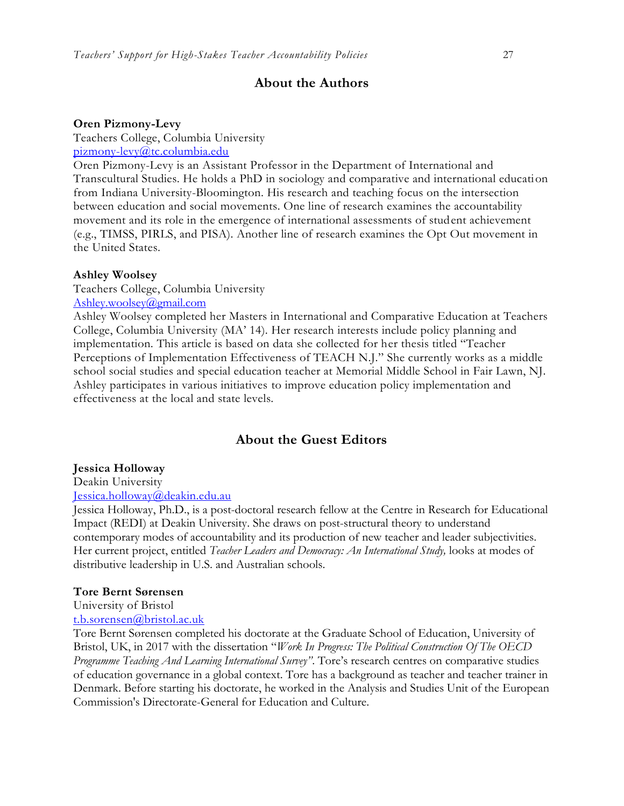### **About the Authors**

#### **Oren Pizmony-Levy**

Teachers College, Columbia University  $pizmony-levy@$ tc.columbia.edu

Oren Pizmony-Levy is an Assistant Professor in the Department of International and Transcultural Studies. He holds a PhD in sociology and comparative and international education from Indiana University-Bloomington. His research and teaching focus on the intersection between education and social movements. One line of research examines the accountability movement and its role in the emergence of international assessments of student achievement (e.g., TIMSS, PIRLS, and PISA). Another line of research examines the Opt Out movement in the United States.

#### **Ashley Woolsey**

Teachers College, Columbia University [Ashley.woolsey@gmail.com](mailto:Ashley.woolsey@gmail.com)

Ashley Woolsey completed her Masters in International and Comparative Education at Teachers College, Columbia University (MA' 14). Her research interests include policy planning and implementation. This article is based on data she collected for her thesis titled "Teacher Perceptions of Implementation Effectiveness of TEACH N.J." She currently works as a middle school social studies and special education teacher at Memorial Middle School in Fair Lawn, NJ. Ashley participates in various initiatives to improve education policy implementation and effectiveness at the local and state levels.

### **About the Guest Editors**

#### **Jessica Holloway**

Deakin University

[Jessica.holloway@deakin.edu.au](mailto:Jessica.holloway@deakin.edu.au)

Jessica Holloway, Ph.D., is a post-doctoral research fellow at the Centre in Research for Educational Impact (REDI) at Deakin University. She draws on post-structural theory to understand contemporary modes of accountability and its production of new teacher and leader subjectivities. Her current project, entitled *Teacher Leaders and Democracy: An International Study,* looks at modes of distributive leadership in U.S. and Australian schools.

#### **Tore Bernt Sørensen**

University of Bristol

[t.b.sorensen@bristol.ac.uk](mailto:t.b.sorensen@bristol.ac.uk)

Tore Bernt Sørensen completed his doctorate at the Graduate School of Education, University of Bristol, UK, in 2017 with the dissertation "*Work In Progress: The Political Construction Of The OECD Programme Teaching And Learning International Survey"*. Tore's research centres on comparative studies of education governance in a global context. Tore has a background as teacher and teacher trainer in Denmark. Before starting his doctorate, he worked in the Analysis and Studies Unit of the European Commission's Directorate-General for Education and Culture.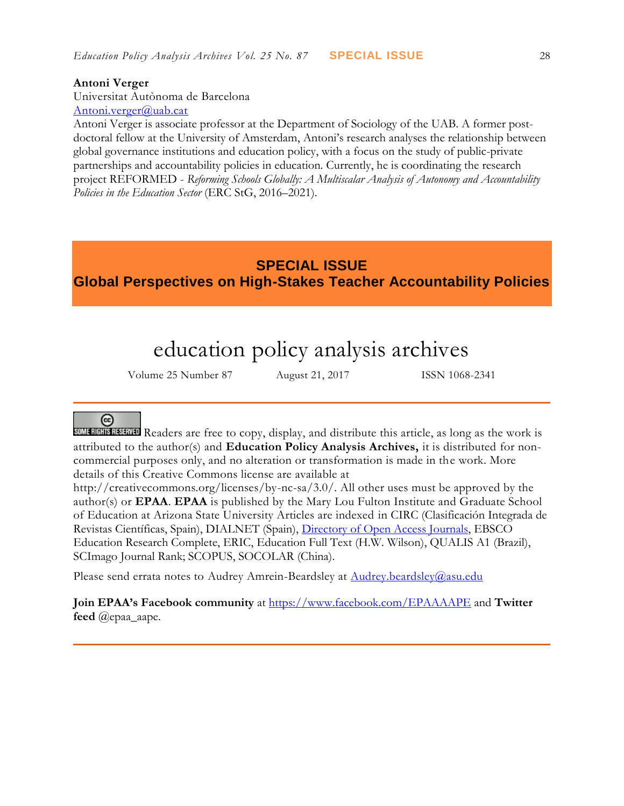#### **Antoni Verger**

Universitat Autònoma de Barcelona [Antoni.verger@uab.cat](mailto:Antoni.verger@uab.cat)

Antoni Verger is associate professor at the Department of Sociology of the UAB. A former postdoctoral fellow at the University of Amsterdam, Antoni's research analyses the relationship between global governance institutions and education policy, with a focus on the study of public-private partnerships and accountability policies in education. Currently, he is coordinating the research project REFORMED - *Reforming Schools Globally: A Multiscalar Analysis of Autonomy and Accountability Policies in the Education Sector* (ERC StG, 2016–2021).

# **SPECIAL ISSUE Global Perspectives on High-Stakes Teacher Accountability Policies**

# education policy analysis archives

Volume 25 Number 87 August 21, 2017 ISSN 1068-2341

# @

SUMERICIBER READERS are free to copy, display, and distribute this article, as long as the work is attributed to the author(s) and **Education Policy Analysis Archives,** it is distributed for noncommercial purposes only, and no alteration or transformation is made in the work. More details of this Creative Commons license are available at

http://creativecommons.org/licenses/by-nc-sa/3.0/. All other uses must be approved by the author(s) or **EPAA**. **EPAA** is published by the Mary Lou Fulton Institute and Graduate School of Education at Arizona State University Articles are indexed in CIRC (Clasificación Integrada de Revistas Científicas, Spain), DIALNET (Spain), [Directory of Open Access Journals,](http://www.doaj.org/) EBSCO Education Research Complete, ERIC, Education Full Text (H.W. Wilson), QUALIS A1 (Brazil), SCImago Journal Rank; SCOPUS, SOCOLAR (China).

Please send errata notes to Audrey Amrein-Beardsley at [Audrey.beardsley@asu.edu](mailto:Audrey.beardsley@asu.edu)

**Join EPAA's Facebook community** at<https://www.facebook.com/EPAAAAPE> and **Twitter feed** @epaa\_aape.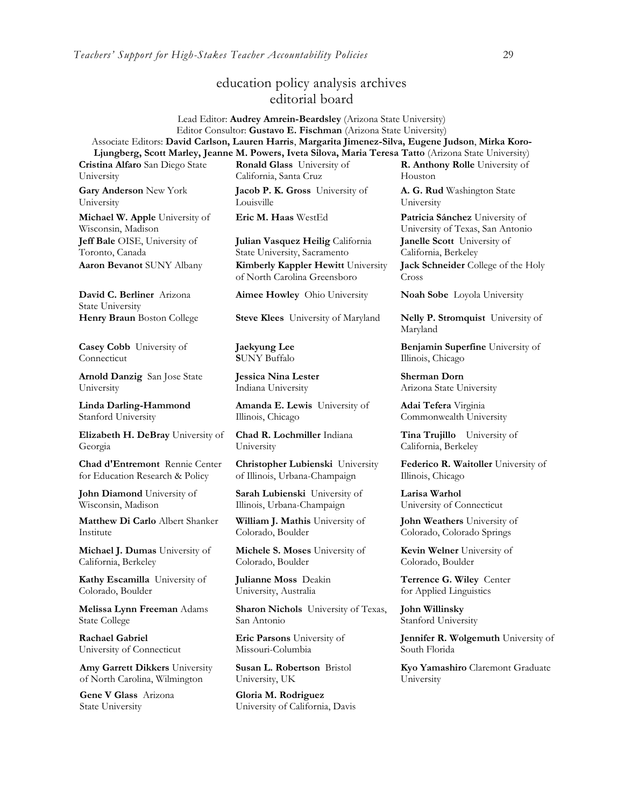## education policy analysis archives editorial board

Lead Editor: **Audrey Amrein-Beardsley** (Arizona State University) Editor Consultor: **Gustavo E. Fischman** (Arizona State University) Associate Editors: **David Carlson, Lauren Harris**, **Margarita Jimenez-Silva, Eugene Judson**, **Mirka Koro-Ljungberg, Scott Marley, Jeanne M. Powers, Iveta Silova, Maria Teresa Tatto** (Arizona State University)

**Cristina Alfaro** San Diego State University

**Gary Anderson** New York University

**Michael W. Apple** University of Wisconsin, Madison **Jeff Bale** OISE, University of Toronto, Canada

**David C. Berliner** Arizona State University

**Casey Cobb** University of **Connecticut** 

**Arnold Danzig** San Jose State University

**Linda Darling-Hammond**  Stanford University

**Elizabeth H. DeBray** University of Georgia

**Chad d'Entremont** Rennie Center for Education Research & Policy

**John Diamond** University of Wisconsin, Madison

**Matthew Di Carlo** Albert Shanker Institute

**Michael J. Dumas** University of California, Berkeley

**Kathy Escamilla** University of Colorado, Boulder

**Melissa Lynn Freeman** Adams State College

**Rachael Gabriel** University of Connecticut

**Amy Garrett Dikkers** University of North Carolina, Wilmington

**Gene V Glass** Arizona State University

**Ronald Glass** University of California, Santa Cruz **Jacob P. K. Gross** University of

Louisville

**Julian Vasquez Heilig** California State University, Sacramento **Aaron Bevanot** SUNY Albany **Kimberly Kappler Hewitt** University of North Carolina Greensboro

**Aimee Howley** Ohio University **Noah Sobe** Loyola University

**Henry Braun** Boston College **Steve Klees** University of Maryland **Nelly P. Stromquist** University of

**Jaekyung Lee S**UNY Buffalo

**Jessica Nina Lester** Indiana University

**Amanda E. Lewis** University of Illinois, Chicago

**Chad R. Lochmiller** Indiana University

**Christopher Lubienski** University of Illinois, Urbana-Champaign

**Sarah Lubienski** University of Illinois, Urbana-Champaign

**William J. Mathis** University of Colorado, Boulder

**Michele S. Moses** University of Colorado, Boulder

**Julianne Moss** Deakin University, Australia

**Sharon Nichols** University of Texas, San Antonio

**Eric Parsons** University of Missouri-Columbia

**Susan L. Robertson** Bristol University, UK

**Gloria M. Rodriguez** University of California, Davis

**R. Anthony Rolle** University of Houston

**A. G. Rud** Washington State University

**Eric M. Haas** WestEd **Patricia Sánchez** University of University of Texas, San Antonio **Janelle Scott** University of California, Berkeley

> **Jack Schneider** College of the Holy Cross

Maryland

**Benjamin Superfine** University of Illinois, Chicago

**Sherman Dorn** Arizona State University

**Adai Tefera** Virginia Commonwealth University

**Tina Trujillo** University of California, Berkeley

**Federico R. Waitoller** University of Illinois, Chicago

**Larisa Warhol** University of Connecticut

**John Weathers** University of Colorado, Colorado Springs

**Kevin Welner** University of Colorado, Boulder

**Terrence G. Wiley** Center for Applied Linguistics

**John Willinsky**  Stanford University

**Jennifer R. Wolgemuth** University of South Florida

**Kyo Yamashiro** Claremont Graduate University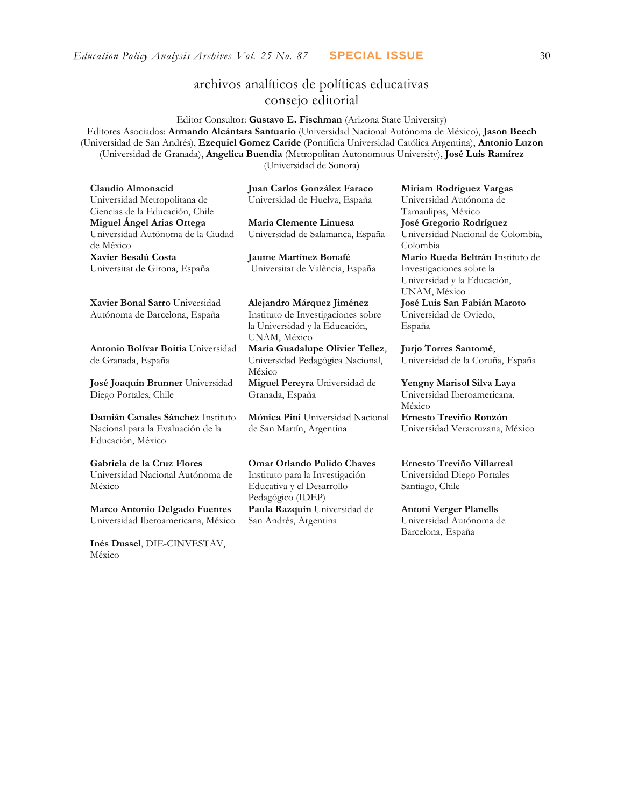# archivos analíticos de políticas educativas consejo editorial

Editor Consultor: **Gustavo E. Fischman** (Arizona State University) Editores Asociados: **Armando Alcántara Santuario** (Universidad Nacional Autónoma de México), **Jason Beech** (Universidad de San Andrés), **Ezequiel Gomez Caride** (Pontificia Universidad Católica Argentina), **Antonio Luzon** (Universidad de Granada), **Angelica Buendia** (Metropolitan Autonomous University), **José Luis Ramírez** (Universidad de Sonora)

| Claudio Almonacid                    | Juan Carlos González Faraco        | Miriam Rodríguez Vargas           |  |  |
|--------------------------------------|------------------------------------|-----------------------------------|--|--|
| Universidad Metropolitana de         | Universidad de Huelva, España      | Universidad Autónoma de           |  |  |
| Ciencias de la Educación, Chile      |                                    | Tamaulipas, México                |  |  |
| Miguel Ángel Arias Ortega            | María Clemente Linuesa             | José Gregorio Rodríguez           |  |  |
| Universidad Autónoma de la Ciudad    | Universidad de Salamanca, España   | Universidad Nacional de Colombia, |  |  |
| de México                            |                                    | Colombia                          |  |  |
| Xavier Besalú Costa                  | Jaume Martínez Bonafé              | Mario Rueda Beltrán Instituto de  |  |  |
| Universitat de Girona, España        | Universitat de València, España    | Investigaciones sobre la          |  |  |
|                                      |                                    | Universidad y la Educación,       |  |  |
|                                      |                                    | UNAM, México                      |  |  |
| Xavier Bonal Sarro Universidad       | Alejandro Márquez Jiménez          | José Luis San Fabián Maroto       |  |  |
| Autónoma de Barcelona, España        | Instituto de Investigaciones sobre | Universidad de Oviedo,            |  |  |
|                                      | la Universidad y la Educación,     | España                            |  |  |
|                                      | UNAM, México                       |                                   |  |  |
| Antonio Bolívar Boitia Universidad   | María Guadalupe Olivier Tellez,    | Jurjo Torres Santomé,             |  |  |
| de Granada, España                   | Universidad Pedagógica Nacional,   | Universidad de la Coruña, España  |  |  |
|                                      | México                             |                                   |  |  |
| José Joaquín Brunner Universidad     | Miguel Pereyra Universidad de      | Yengny Marisol Silva Laya         |  |  |
| Diego Portales, Chile                | Granada, España                    | Universidad Iberoamericana,       |  |  |
|                                      |                                    | México                            |  |  |
| Damián Canales Sánchez Instituto     | Mónica Pini Universidad Nacional   | Ernesto Treviño Ronzón            |  |  |
| Nacional para la Evaluación de la    | de San Martín, Argentina           | Universidad Veracruzana, México   |  |  |
| Educación, México                    |                                    |                                   |  |  |
| Gabriela de la Cruz Flores           | <b>Omar Orlando Pulido Chaves</b>  | Ernesto Treviño Villarreal        |  |  |
| Universidad Nacional Autónoma de     | Instituto para la Investigación    | Universidad Diego Portales        |  |  |
| México                               | Educativa y el Desarrollo          | Santiago, Chile                   |  |  |
|                                      | Pedagógico (IDEP)                  |                                   |  |  |
| <b>Marco Antonio Delgado Fuentes</b> | Paula Razquin Universidad de       | <b>Antoni Verger Planells</b>     |  |  |

San Andrés, Argentina

**[Inés Dussel](javascript:openRTWindow()**, DIE-CINVESTAV,

Universidad Iberoamericana, México

México

Universidad Autónoma de Barcelona, España